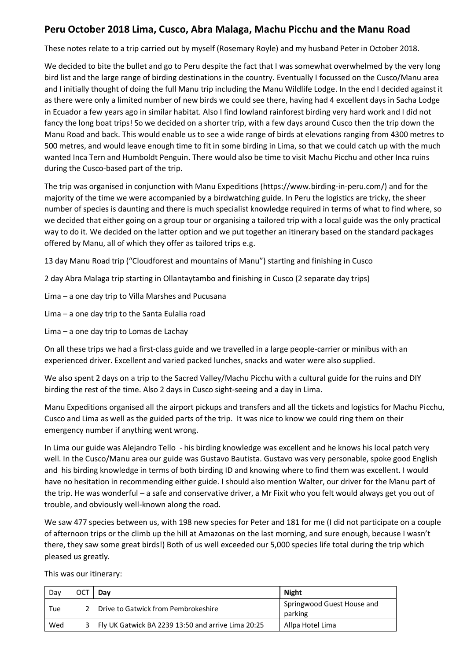# **Peru October 2018 Lima, Cusco, Abra Malaga, Machu Picchu and the Manu Road**

These notes relate to a trip carried out by myself (Rosemary Royle) and my husband Peter in October 2018.

We decided to bite the bullet and go to Peru despite the fact that I was somewhat overwhelmed by the very long bird list and the large range of birding destinations in the country. Eventually I focussed on the Cusco/Manu area and I initially thought of doing the full Manu trip including the Manu Wildlife Lodge. In the end I decided against it as there were only a limited number of new birds we could see there, having had 4 excellent days in Sacha Lodge in Ecuador a few years ago in similar habitat. Also I find lowland rainforest birding very hard work and I did not fancy the long boat trips! So we decided on a shorter trip, with a few days around Cusco then the trip down the Manu Road and back. This would enable us to see a wide range of birds at elevations ranging from 4300 metres to 500 metres, and would leave enough time to fit in some birding in Lima, so that we could catch up with the much wanted Inca Tern and Humboldt Penguin. There would also be time to visit Machu Picchu and other Inca ruins during the Cusco-based part of the trip.

The trip was organised in conjunction with Manu Expeditions (https://www.birding-in-peru.com/) and for the majority of the time we were accompanied by a birdwatching guide. In Peru the logistics are tricky, the sheer number of species is daunting and there is much specialist knowledge required in terms of what to find where, so we decided that either going on a group tour or organising a tailored trip with a local guide was the only practical way to do it. We decided on the latter option and we put together an itinerary based on the standard packages offered by Manu, all of which they offer as tailored trips e.g.

- 13 day Manu Road trip ("Cloudforest and mountains of Manu") starting and finishing in Cusco
- 2 day Abra Malaga trip starting in Ollantaytambo and finishing in Cusco (2 separate day trips)
- Lima a one day trip to Villa Marshes and Pucusana
- Lima a one day trip to the Santa Eulalia road
- Lima a one day trip to Lomas de Lachay

On all these trips we had a first-class guide and we travelled in a large people-carrier or minibus with an experienced driver. Excellent and varied packed lunches, snacks and water were also supplied.

We also spent 2 days on a trip to the Sacred Valley/Machu Picchu with a cultural guide for the ruins and DIY birding the rest of the time. Also 2 days in Cusco sight-seeing and a day in Lima.

Manu Expeditions organised all the airport pickups and transfers and all the tickets and logistics for Machu Picchu, Cusco and Lima as well as the guided parts of the trip. It was nice to know we could ring them on their emergency number if anything went wrong.

In Lima our guide was Alejandro Tello - his birding knowledge was excellent and he knows his local patch very well. In the Cusco/Manu area our guide was Gustavo Bautista. Gustavo was very personable, spoke good English and his birding knowledge in terms of both birding ID and knowing where to find them was excellent. I would have no hesitation in recommending either guide. I should also mention Walter, our driver for the Manu part of the trip. He was wonderful – a safe and conservative driver, a Mr Fixit who you felt would always get you out of trouble, and obviously well-known along the road.

We saw 477 species between us, with 198 new species for Peter and 181 for me (I did not participate on a couple of afternoon trips or the climb up the hill at Amazonas on the last morning, and sure enough, because I wasn't there, they saw some great birds!) Both of us well exceeded our 5,000 species life total during the trip which pleased us greatly.

This was our itinerary:

| Day | ост | Dav                                                    | <b>Night</b>                          |
|-----|-----|--------------------------------------------------------|---------------------------------------|
| Tue |     | 2 Drive to Gatwick from Pembrokeshire                  | Springwood Guest House and<br>parking |
| Wed |     | 3   Fly UK Gatwick BA 2239 13:50 and arrive Lima 20:25 | Allpa Hotel Lima                      |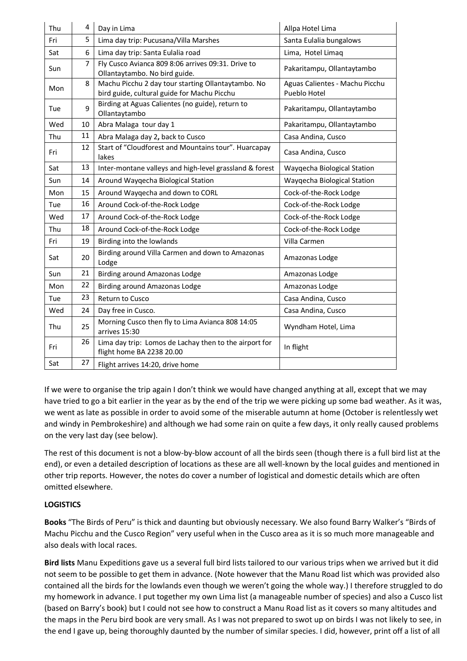| Thu | 4  | Day in Lima                                                                                       | Allpa Hotel Lima                               |
|-----|----|---------------------------------------------------------------------------------------------------|------------------------------------------------|
| Fri | 5  | Lima day trip: Pucusana/Villa Marshes                                                             | Santa Eulalia bungalows                        |
| Sat | 6  | Lima day trip: Santa Eulalia road                                                                 | Lima, Hotel Limaq                              |
| Sun | 7  | Fly Cusco Avianca 809 8:06 arrives 09:31. Drive to<br>Ollantaytambo. No bird guide.               | Pakaritampu, Ollantaytambo                     |
| Mon | 8  | Machu Picchu 2 day tour starting Ollantaytambo. No<br>bird guide, cultural guide for Machu Picchu | Aguas Calientes - Machu Picchu<br>Pueblo Hotel |
| Tue | 9  | Birding at Aguas Calientes (no guide), return to<br>Ollantaytambo                                 | Pakaritampu, Ollantaytambo                     |
| Wed | 10 | Abra Malaga tour day 1                                                                            | Pakaritampu, Ollantaytambo                     |
| Thu | 11 | Abra Malaga day 2, back to Cusco                                                                  | Casa Andina, Cusco                             |
| Fri | 12 | Start of "Cloudforest and Mountains tour". Huarcapay<br>lakes                                     | Casa Andina, Cusco                             |
| Sat | 13 | Inter-montane valleys and high-level grassland & forest                                           | Wayqecha Biological Station                    |
| Sun | 14 | Around Wayqecha Biological Station                                                                | Wayqecha Biological Station                    |
| Mon | 15 | Around Wayqecha and down to CORL                                                                  | Cock-of-the-Rock Lodge                         |
| Tue | 16 | Around Cock-of-the-Rock Lodge                                                                     | Cock-of-the-Rock Lodge                         |
| Wed | 17 | Around Cock-of-the-Rock Lodge                                                                     | Cock-of-the-Rock Lodge                         |
| Thu | 18 | Around Cock-of-the-Rock Lodge                                                                     | Cock-of-the-Rock Lodge                         |
| Fri | 19 | Birding into the lowlands                                                                         | Villa Carmen                                   |
| Sat | 20 | Birding around Villa Carmen and down to Amazonas<br>Lodge                                         | Amazonas Lodge                                 |
| Sun | 21 | Birding around Amazonas Lodge                                                                     | Amazonas Lodge                                 |
| Mon | 22 | Birding around Amazonas Lodge                                                                     | Amazonas Lodge                                 |
| Tue | 23 | Return to Cusco                                                                                   | Casa Andina, Cusco                             |
| Wed | 24 | Day free in Cusco.                                                                                | Casa Andina, Cusco                             |
| Thu | 25 | Morning Cusco then fly to Lima Avianca 808 14:05<br>arrives 15:30                                 | Wyndham Hotel, Lima                            |
| Fri | 26 | Lima day trip: Lomos de Lachay then to the airport for<br>flight home BA 2238 20.00               | In flight                                      |
| Sat | 27 | Flight arrives 14:20, drive home                                                                  |                                                |

If we were to organise the trip again I don't think we would have changed anything at all, except that we may have tried to go a bit earlier in the year as by the end of the trip we were picking up some bad weather. As it was, we went as late as possible in order to avoid some of the miserable autumn at home (October is relentlessly wet and windy in Pembrokeshire) and although we had some rain on quite a few days, it only really caused problems on the very last day (see below).

The rest of this document is not a blow-by-blow account of all the birds seen (though there is a full bird list at the end), or even a detailed description of locations as these are all well-known by the local guides and mentioned in other trip reports. However, the notes do cover a number of logistical and domestic details which are often omitted elsewhere.

## **LOGISTICS**

**Books** "The Birds of Peru" is thick and daunting but obviously necessary. We also found Barry Walker's "Birds of Machu Picchu and the Cusco Region" very useful when in the Cusco area as it is so much more manageable and also deals with local races.

**Bird lists** Manu Expeditions gave us a several full bird lists tailored to our various trips when we arrived but it did not seem to be possible to get them in advance. (Note however that the Manu Road list which was provided also contained all the birds for the lowlands even though we weren't going the whole way.) I therefore struggled to do my homework in advance. I put together my own Lima list (a manageable number of species) and also a Cusco list (based on Barry's book) but I could not see how to construct a Manu Road list as it covers so many altitudes and the maps in the Peru bird book are very small. As I was not prepared to swot up on birds I was not likely to see, in the end I gave up, being thoroughly daunted by the number of similar species. I did, however, print off a list of all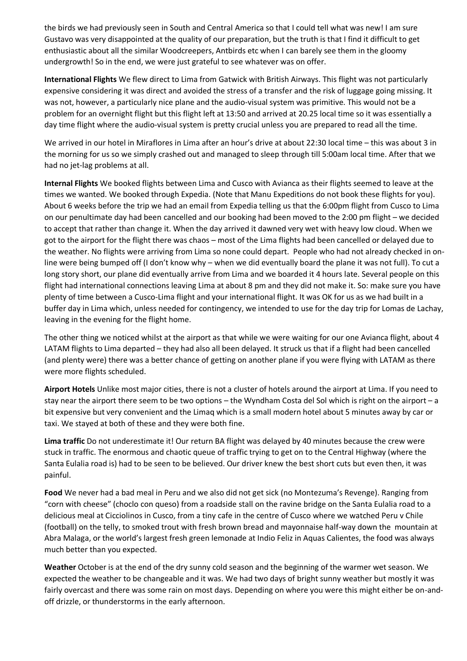the birds we had previously seen in South and Central America so that I could tell what was new! I am sure Gustavo was very disappointed at the quality of our preparation, but the truth is that I find it difficult to get enthusiastic about all the similar Woodcreepers, Antbirds etc when I can barely see them in the gloomy undergrowth! So in the end, we were just grateful to see whatever was on offer.

**International Flights** We flew direct to Lima from Gatwick with British Airways. This flight was not particularly expensive considering it was direct and avoided the stress of a transfer and the risk of luggage going missing. It was not, however, a particularly nice plane and the audio-visual system was primitive. This would not be a problem for an overnight flight but this flight left at 13:50 and arrived at 20.25 local time so it was essentially a day time flight where the audio-visual system is pretty crucial unless you are prepared to read all the time.

We arrived in our hotel in Miraflores in Lima after an hour's drive at about 22:30 local time – this was about 3 in the morning for us so we simply crashed out and managed to sleep through till 5:00am local time. After that we had no jet-lag problems at all.

**Internal Flights** We booked flights between Lima and Cusco with Avianca as their flights seemed to leave at the times we wanted. We booked through Expedia. (Note that Manu Expeditions do not book these flights for you). About 6 weeks before the trip we had an email from Expedia telling us that the 6:00pm flight from Cusco to Lima on our penultimate day had been cancelled and our booking had been moved to the 2:00 pm flight – we decided to accept that rather than change it. When the day arrived it dawned very wet with heavy low cloud. When we got to the airport for the flight there was chaos – most of the Lima flights had been cancelled or delayed due to the weather. No flights were arriving from Lima so none could depart. People who had not already checked in online were being bumped off (I don't know why – when we did eventually board the plane it was not full). To cut a long story short, our plane did eventually arrive from Lima and we boarded it 4 hours late. Several people on this flight had international connections leaving Lima at about 8 pm and they did not make it. So: make sure you have plenty of time between a Cusco-Lima flight and your international flight. It was OK for us as we had built in a buffer day in Lima which, unless needed for contingency, we intended to use for the day trip for Lomas de Lachay, leaving in the evening for the flight home.

The other thing we noticed whilst at the airport as that while we were waiting for our one Avianca flight, about 4 LATAM flights to Lima departed – they had also all been delayed. It struck us that if a flight had been cancelled (and plenty were) there was a better chance of getting on another plane if you were flying with LATAM as there were more flights scheduled.

**Airport Hotels** Unlike most major cities, there is not a cluster of hotels around the airport at Lima. If you need to stay near the airport there seem to be two options – the Wyndham Costa del Sol which is right on the airport – a bit expensive but very convenient and the Limaq which is a small modern hotel about 5 minutes away by car or taxi. We stayed at both of these and they were both fine.

**Lima traffic** Do not underestimate it! Our return BA flight was delayed by 40 minutes because the crew were stuck in traffic. The enormous and chaotic queue of traffic trying to get on to the Central Highway (where the Santa Eulalia road is) had to be seen to be believed. Our driver knew the best short cuts but even then, it was painful.

**Food** We never had a bad meal in Peru and we also did not get sick (no Montezuma's Revenge). Ranging from "corn with cheese" (choclo con queso) from a roadside stall on the ravine bridge on the Santa Eulalia road to a delicious meal at Cicciolinos in Cusco, from a tiny cafe in the centre of Cusco where we watched Peru v Chile (football) on the telly, to smoked trout with fresh brown bread and mayonnaise half-way down the mountain at Abra Malaga, or the world's largest fresh green lemonade at Indio Feliz in Aquas Calientes, the food was always much better than you expected.

**Weather** October is at the end of the dry sunny cold season and the beginning of the warmer wet season. We expected the weather to be changeable and it was. We had two days of bright sunny weather but mostly it was fairly overcast and there was some rain on most days. Depending on where you were this might either be on-andoff drizzle, or thunderstorms in the early afternoon.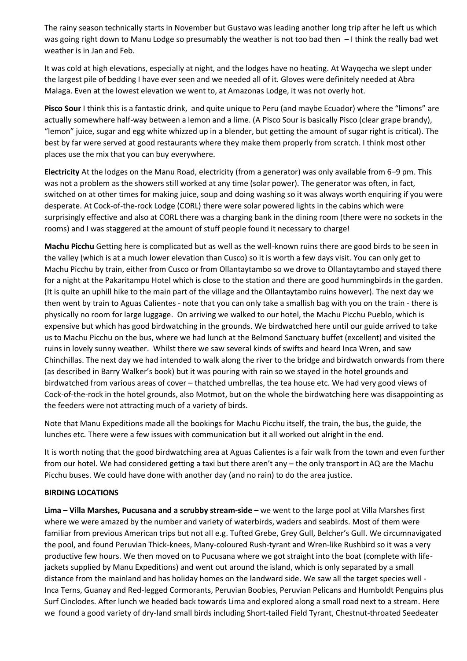The rainy season technically starts in November but Gustavo was leading another long trip after he left us which was going right down to Manu Lodge so presumably the weather is not too bad then – I think the really bad wet weather is in Jan and Feb.

It was cold at high elevations, especially at night, and the lodges have no heating. At Wayqecha we slept under the largest pile of bedding I have ever seen and we needed all of it. Gloves were definitely needed at Abra Malaga. Even at the lowest elevation we went to, at Amazonas Lodge, it was not overly hot.

**Pisco Sour** I think this is a fantastic drink, and quite unique to Peru (and maybe Ecuador) where the "limons" are actually somewhere half-way between a lemon and a lime. (A Pisco Sour is basically Pisco (clear grape brandy), "lemon" juice, sugar and egg white whizzed up in a blender, but getting the amount of sugar right is critical). The best by far were served at good restaurants where they make them properly from scratch. I think most other places use the mix that you can buy everywhere.

**Electricity** At the lodges on the Manu Road, electricity (from a generator) was only available from 6–9 pm. This was not a problem as the showers still worked at any time (solar power). The generator was often, in fact, switched on at other times for making juice, soup and doing washing so it was always worth enquiring if you were desperate. At Cock-of-the-rock Lodge (CORL) there were solar powered lights in the cabins which were surprisingly effective and also at CORL there was a charging bank in the dining room (there were no sockets in the rooms) and I was staggered at the amount of stuff people found it necessary to charge!

**Machu Picchu** Getting here is complicated but as well as the well-known ruins there are good birds to be seen in the valley (which is at a much lower elevation than Cusco) so it is worth a few days visit. You can only get to Machu Picchu by train, either from Cusco or from Ollantaytambo so we drove to Ollantaytambo and stayed there for a night at the Pakaritampu Hotel which is close to the station and there are good hummingbirds in the garden. (It is quite an uphill hike to the main part of the village and the Ollantaytambo ruins however). The next day we then went by train to Aguas Calientes - note that you can only take a smallish bag with you on the train - there is physically no room for large luggage. On arriving we walked to our hotel, the Machu Picchu Pueblo, which is expensive but which has good birdwatching in the grounds. We birdwatched here until our guide arrived to take us to Machu Picchu on the bus, where we had lunch at the Belmond Sanctuary buffet (excellent) and visited the ruins in lovely sunny weather. Whilst there we saw several kinds of swifts and heard Inca Wren, and saw Chinchillas. The next day we had intended to walk along the river to the bridge and birdwatch onwards from there (as described in Barry Walker's book) but it was pouring with rain so we stayed in the hotel grounds and birdwatched from various areas of cover – thatched umbrellas, the tea house etc. We had very good views of Cock-of-the-rock in the hotel grounds, also Motmot, but on the whole the birdwatching here was disappointing as the feeders were not attracting much of a variety of birds.

Note that Manu Expeditions made all the bookings for Machu Picchu itself, the train, the bus, the guide, the lunches etc. There were a few issues with communication but it all worked out alright in the end.

It is worth noting that the good birdwatching area at Aguas Calientes is a fair walk from the town and even further from our hotel. We had considered getting a taxi but there aren't any – the only transport in AQ are the Machu Picchu buses. We could have done with another day (and no rain) to do the area justice.

#### **BIRDING LOCATIONS**

**Lima – Villa Marshes, Pucusana and a scrubby stream-side** – we went to the large pool at Villa Marshes first where we were amazed by the number and variety of waterbirds, waders and seabirds. Most of them were familiar from previous American trips but not all e.g. Tufted Grebe, Grey Gull, Belcher's Gull. We circumnavigated the pool, and found Peruvian Thick-knees, Many-coloured Rush-tyrant and Wren-like Rushbird so it was a very productive few hours. We then moved on to Pucusana where we got straight into the boat (complete with lifejackets supplied by Manu Expeditions) and went out around the island, which is only separated by a small distance from the mainland and has holiday homes on the landward side. We saw all the target species well - Inca Terns, Guanay and Red-legged Cormorants, Peruvian Boobies, Peruvian Pelicans and Humboldt Penguins plus Surf Cinclodes. After lunch we headed back towards Lima and explored along a small road next to a stream. Here we found a good variety of dry-land small birds including Short-tailed Field Tyrant, Chestnut-throated Seedeater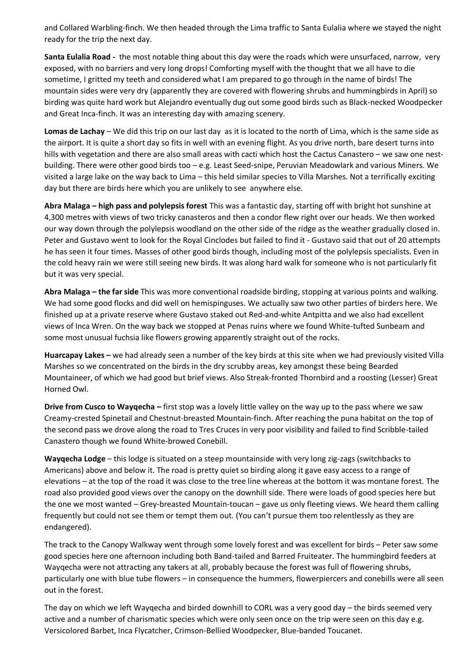and Collared Warbling-finch. We then headed through the Lima traffic to Santa Eulalia where we stayed the night ready for the trip the next day.

**Santa Eulalia Road -** the most notable thing about this day were the roads which were unsurfaced, narrow, very exposed, with no barriers and very long drops! Comforting myself with the thought that we all have to die sometime, I gritted my teeth and considered what I am prepared to go through in the name of birds! The mountain sides were very dry (apparently they are covered with flowering shrubs and hummingbirds in April) so birding was quite hard work but Alejandro eventually dug out some good birds such as Black-necked Woodpecker and Great Inca-finch. It was an interesting day with amazing scenery.

**Lomas de Lachay** – We did this trip on our last day as it is located to the north of Lima, which is the same side as the airport. It is quite a short day so fits in well with an evening flight. As you drive north, bare desert turns into hills with vegetation and there are also small areas with cacti which host the Cactus Canastero – we saw one nestbuilding. There were other good birds too – e.g. Least Seed-snipe, Peruvian Meadowlark and various Miners. We visited a large lake on the way back to Lima – this held similar species to Villa Marshes. Not a terrifically exciting day but there are birds here which you are unlikely to see anywhere else.

**Abra Malaga – high pass and polylepsis forest** This was a fantastic day, starting off with bright hot sunshine at 4,300 metres with views of two tricky canasteros and then a condor flew right over our heads. We then worked our way down through the polylepsis woodland on the other side of the ridge as the weather gradually closed in. Peter and Gustavo went to look for the Royal Cinclodes but failed to find it - Gustavo said that out of 20 attempts he has seen it four times. Masses of other good birds though, including most of the polylepsis specialists. Even in the cold heavy rain we were still seeing new birds. It was along hard walk for someone who is not particularly fit but it was very special.

**Abra Malaga – the far side** This was more conventional roadside birding, stopping at various points and walking. We had some good flocks and did well on hemispinguses. We actually saw two other parties of birders here. We finished up at a private reserve where Gustavo staked out Red-and-white Antpitta and we also had excellent views of Inca Wren. On the way back we stopped at Penas ruins where we found White-tufted Sunbeam and some most unusual fuchsia like flowers growing apparently straight out of the rocks.

**Huarcapay Lakes –** we had already seen a number of the key birds at this site when we had previously visited Villa Marshes so we concentrated on the birds in the dry scrubby areas, key amongst these being Bearded Mountaineer, of which we had good but brief views. Also Streak-fronted Thornbird and a roosting (Lesser) Great Horned Owl.

**Drive from Cusco to Wayqecha –** first stop was a lovely little valley on the way up to the pass where we saw Creamy-crested Spinetail and Chestnut-breasted Mountain-finch. After reaching the puna habitat on the top of the second pass we drove along the road to Tres Cruces in very poor visibility and failed to find Scribble-tailed Canastero though we found White-browed Conebill.

**Wayqecha Lodge** – this lodge is situated on a steep mountainside with very long zig-zags (switchbacks to Americans) above and below it. The road is pretty quiet so birding along it gave easy access to a range of elevations – at the top of the road it was close to the tree line whereas at the bottom it was montane forest. The road also provided good views over the canopy on the downhill side. There were loads of good species here but the one we most wanted – Grey-breasted Mountain-toucan – gave us only fleeting views. We heard them calling frequently but could not see them or tempt them out. (You can't pursue them too relentlessly as they are endangered).

The track to the Canopy Walkway went through some lovely forest and was excellent for birds – Peter saw some good species here one afternoon including both Band-tailed and Barred Fruiteater. The hummingbird feeders at Wayqecha were not attracting any takers at all, probably because the forest was full of flowering shrubs, particularly one with blue tube flowers – in consequence the hummers, flowerpiercers and conebills were all seen out in the forest.

The day on which we left Wayqecha and birded downhill to CORL was a very good day – the birds seemed very active and a number of charismatic species which were only seen once on the trip were seen on this day e.g. Versicolored Barbet, Inca Flycatcher, Crimson-Bellied Woodpecker, Blue-banded Toucanet.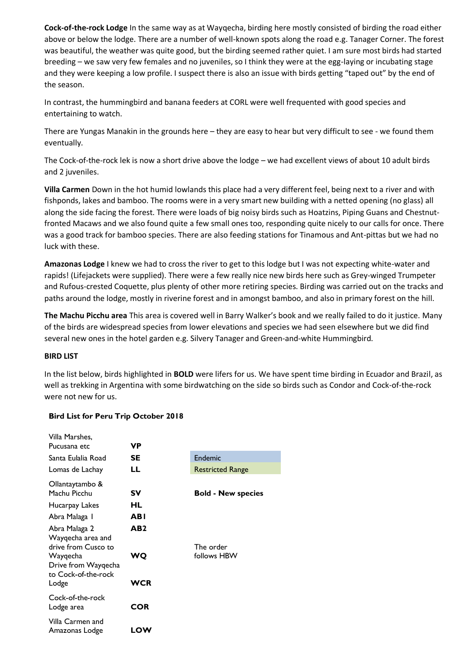**Cock-of-the-rock Lodge** In the same way as at Wayqecha, birding here mostly consisted of birding the road either above or below the lodge. There are a number of well-known spots along the road e.g. Tanager Corner. The forest was beautiful, the weather was quite good, but the birding seemed rather quiet. I am sure most birds had started breeding – we saw very few females and no juveniles, so I think they were at the egg-laying or incubating stage and they were keeping a low profile. I suspect there is also an issue with birds getting "taped out" by the end of the season.

In contrast, the hummingbird and banana feeders at CORL were well frequented with good species and entertaining to watch.

There are Yungas Manakin in the grounds here – they are easy to hear but very difficult to see - we found them eventually.

The Cock-of-the-rock lek is now a short drive above the lodge – we had excellent views of about 10 adult birds and 2 juveniles.

**Villa Carmen** Down in the hot humid lowlands this place had a very different feel, being next to a river and with fishponds, lakes and bamboo. The rooms were in a very smart new building with a netted opening (no glass) all along the side facing the forest. There were loads of big noisy birds such as Hoatzins, Piping Guans and Chestnutfronted Macaws and we also found quite a few small ones too, responding quite nicely to our calls for once. There was a good track for bamboo species. There are also feeding stations for Tinamous and Ant-pittas but we had no luck with these.

**Amazonas Lodge** I knew we had to cross the river to get to this lodge but I was not expecting white-water and rapids! (Lifejackets were supplied). There were a few really nice new birds here such as Grey-winged Trumpeter and Rufous-crested Coquette, plus plenty of other more retiring species. Birding was carried out on the tracks and paths around the lodge, mostly in riverine forest and in amongst bamboo, and also in primary forest on the hill.

**The Machu Picchu area** This area is covered well in Barry Walker's book and we really failed to do it justice. Many of the birds are widespread species from lower elevations and species we had seen elsewhere but we did find several new ones in the hotel garden e.g. Silvery Tanager and Green-and-white Hummingbird.

### **BIRD LIST**

In the list below, birds highlighted in **BOLD** were lifers for us. We have spent time birding in Ecuador and Brazil, as well as trekking in Argentina with some birdwatching on the side so birds such as Condor and Cock-of-the-rock were not new for us.

| Villa Marshes.<br>Pucusana etc                                                | VP              |                           |
|-------------------------------------------------------------------------------|-----------------|---------------------------|
| Santa Eulalia Road                                                            | SE              | Endemic                   |
| Lomas de Lachay                                                               | LL              | <b>Restricted Range</b>   |
| Ollantaytambo &<br>Machu Picchu<br>Hucarpay Lakes                             | Sν<br>HL        | <b>Bold - New species</b> |
| Abra Malaga 1                                                                 | ABI             |                           |
| Abra Malaga 2<br>Wayqecha area and                                            | AB <sub>2</sub> |                           |
| drive from Cusco to<br>Wayqecha<br>Drive from Wayqecha<br>to Cock-of-the-rock | WQ              | The order<br>follows HBW  |
| Lodge                                                                         | <b>WCR</b>      |                           |
| Cock-of-the-rock<br>Lodge area                                                | <b>COR</b>      |                           |
| Villa Carmen and<br>Amazonas Lodge                                            | LOW             |                           |

#### **Bird List for Peru Trip October 2018**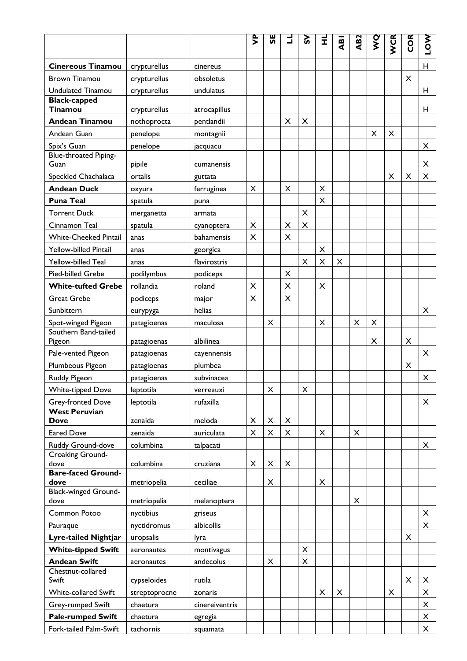|                                            |               |                | ድ<br>> | 59            | Ⅎ              | ິຜ             | Ĩ              | $\mathbf{a}$   | AB <sub>2</sub> | <b>O<br/>M</b> | WCR | <b>COR</b> | <b>LOW</b> |
|--------------------------------------------|---------------|----------------|--------|---------------|----------------|----------------|----------------|----------------|-----------------|----------------|-----|------------|------------|
| <b>Cinereous Tinamou</b>                   | crypturellus  | cinereus       |        |               |                |                |                |                |                 |                |     |            | H          |
| <b>Brown Tinamou</b>                       | crypturellus  | obsoletus      |        |               |                |                |                |                |                 |                |     | X          |            |
| <b>Undulated Tinamou</b>                   | crypturellus  | undulatus      |        |               |                |                |                |                |                 |                |     |            | н          |
| <b>Black-capped</b><br>Tinamou             | crypturellus  | atrocapillus   |        |               |                |                |                |                |                 |                |     |            | н          |
| <b>Andean Tinamou</b>                      | nothoprocta   | pentlandii     |        |               | $\times$       | $\pmb{\times}$ |                |                |                 |                |     |            |            |
| Andean Guan                                | penelope      | montagnii      |        |               |                |                |                |                |                 | $\pmb{\times}$ | X   |            |            |
| Spix's Guan                                | penelope      | jacquacu       |        |               |                |                |                |                |                 |                |     |            | X          |
| Blue-throated Piping-<br>Guan              | pipile        | cumanensis     |        |               |                |                |                |                |                 |                |     |            | X          |
| Speckled Chachalaca                        | ortalis       | guttata        |        |               |                |                |                |                |                 |                | X   | X          | X          |
| <b>Andean Duck</b>                         |               |                |        |               | X              |                | $\times$       |                |                 |                |     |            |            |
| <b>Puna Teal</b>                           | oxyura        | ferruginea     | X      |               |                |                | X              |                |                 |                |     |            |            |
| <b>Torrent Duck</b>                        | spatula       | puna           |        |               |                | X              |                |                |                 |                |     |            |            |
| Cinnamon Teal                              | merganetta    | armata         | X      |               | $\pmb{\times}$ | $\times$       |                |                |                 |                |     |            |            |
|                                            | spatula       | cyanoptera     |        |               |                |                |                |                |                 |                |     |            |            |
| <b>White-Cheeked Pintail</b>               | anas          | bahamensis     | X      |               | X              |                |                |                |                 |                |     |            |            |
| Yellow-billed Pintail                      | anas          | georgica       |        |               |                |                | X              |                |                 |                |     |            |            |
| Yellow-billed Teal                         | anas          | flavirostris   |        |               |                | X              | $\pmb{\times}$ | X              |                 |                |     |            |            |
| Pied-billed Grebe                          | podilymbus    | podiceps       |        |               | X              |                |                |                |                 |                |     |            |            |
| <b>White-tufted Grebe</b>                  | rollandia     | roland         | X      |               | $\pmb{\times}$ |                | X              |                |                 |                |     |            |            |
| <b>Great Grebe</b>                         | podiceps      | major          | X      |               | X              |                |                |                |                 |                |     |            |            |
| Sunbittern                                 | eurypyga      | helias         |        |               |                |                |                |                |                 |                |     |            | X          |
| Spot-winged Pigeon<br>Southern Band-tailed | patagioenas   | maculosa       |        | X             |                |                | X              |                | X               | X              |     |            |            |
| Pigeon                                     | patagioenas   | albilinea      |        |               |                |                |                |                |                 | X              |     | X          |            |
| Pale-vented Pigeon                         | patagioenas   | cayennensis    |        |               |                |                |                |                |                 |                |     |            | X          |
| Plumbeous Pigeon                           | patagioenas   | plumbea        |        |               |                |                |                |                |                 |                |     | X          |            |
| Ruddy Pigeon                               | patagioenas   | subvinacea     |        |               |                |                |                |                |                 |                |     |            | X          |
| <b>White-tipped Dove</b>                   | leptotila     | verreauxi      |        | X             |                | X              |                |                |                 |                |     |            |            |
| Grey-fronted Dove                          | leptotila     | rufaxilla      |        |               |                |                |                |                |                 |                |     |            | X          |
| <b>West Peruvian</b>                       | zenaida       |                |        |               |                |                |                |                |                 |                |     |            |            |
| <b>Dove</b><br><b>Eared Dove</b>           |               | meloda         | X<br>X | X<br>$\times$ | X<br>X         |                | X              |                | X               |                |     |            |            |
|                                            | zenaida       | auriculata     |        |               |                |                |                |                |                 |                |     |            |            |
| Ruddy Ground-dove<br>Croaking Ground-      | columbina     | talpacati      |        |               |                |                |                |                |                 |                |     |            | X          |
| dove                                       | columbina     | cruziana       | X      | X             | X              |                |                |                |                 |                |     |            |            |
| <b>Bare-faced Ground-</b>                  |               |                |        |               |                |                |                |                |                 |                |     |            |            |
| dove<br><b>Black-winged Ground-</b>        | metriopelia   | ceciliae       |        | X             |                |                | X              |                |                 |                |     |            |            |
| dove                                       | metriopelia   | melanoptera    |        |               |                |                |                |                | X               |                |     |            |            |
| Common Potoo                               | nyctibius     | griseus        |        |               |                |                |                |                |                 |                |     |            | X          |
| Pauraque                                   | nyctidromus   | albicollis     |        |               |                |                |                |                |                 |                |     |            | X          |
| Lyre-tailed Nightjar                       | uropsalis     | lyra           |        |               |                |                |                |                |                 |                |     | X          |            |
| <b>White-tipped Swift</b>                  | aeronautes    | montivagus     |        |               |                | X              |                |                |                 |                |     |            |            |
| <b>Andean Swift</b>                        | aeronautes    | andecolus      |        | X             |                | X              |                |                |                 |                |     |            |            |
| Chestnut-collared<br>Swift                 | cypseloides   | rutila         |        |               |                |                |                |                |                 |                |     | X          | X          |
| White-collared Swift                       | streptoprocne | zonaris        |        |               |                |                | X              | $\pmb{\times}$ |                 |                | X   |            | X          |
| Grey-rumped Swift                          | chaetura      | cinereiventris |        |               |                |                |                |                |                 |                |     |            | X          |
| <b>Pale-rumped Swift</b>                   | chaetura      | egregia        |        |               |                |                |                |                |                 |                |     |            | X          |
| Fork-tailed Palm-Swift                     | tachornis     | squamata       |        |               |                |                |                |                |                 |                |     |            | X          |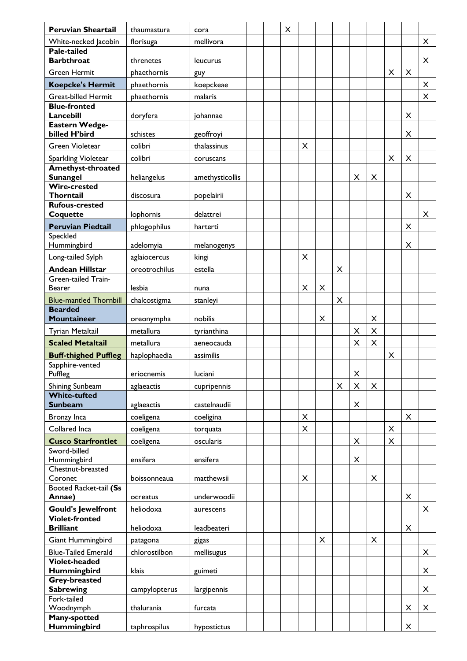| <b>Peruvian Sheartail</b>                 | thaumastura   | cora            |  | X |                |   |                |                         |                |                |                |   |
|-------------------------------------------|---------------|-----------------|--|---|----------------|---|----------------|-------------------------|----------------|----------------|----------------|---|
| White-necked Jacobin                      | florisuga     | mellivora       |  |   |                |   |                |                         |                |                |                | X |
| <b>Pale-tailed</b><br><b>Barbthroat</b>   | threnetes     | leucurus        |  |   |                |   |                |                         |                |                |                | X |
| <b>Green Hermit</b>                       | phaethornis   | guy             |  |   |                |   |                |                         |                | X              | X              |   |
| <b>Koepcke's Hermit</b>                   | phaethornis   | koepckeae       |  |   |                |   |                |                         |                |                |                | X |
| <b>Great-billed Hermit</b>                | phaethornis   | malaris         |  |   |                |   |                |                         |                |                |                | X |
| <b>Blue-fronted</b>                       |               |                 |  |   |                |   |                |                         |                |                |                |   |
| Lancebill                                 | doryfera      | johannae        |  |   |                |   |                |                         |                |                | X              |   |
| Eastern Wedge-                            |               |                 |  |   |                |   |                |                         |                |                |                |   |
| billed H'bird                             | schistes      | geoffroyi       |  |   |                |   |                |                         |                |                | X              |   |
| <b>Green Violetear</b>                    | colibri       | thalassinus     |  |   | X              |   |                |                         |                |                |                |   |
| Sparkling Violetear                       | colibri       | coruscans       |  |   |                |   |                |                         |                | $\pmb{\times}$ | $\pmb{\times}$ |   |
| Amethyst-throated<br><b>Sunangel</b>      | heliangelus   | amethysticollis |  |   |                |   |                | $\pmb{\times}$          | $\pmb{\times}$ |                |                |   |
| <b>Wire-crested</b>                       |               |                 |  |   |                |   |                |                         |                |                |                |   |
| Thorntail                                 | discosura     | popelairii      |  |   |                |   |                |                         |                |                | X              |   |
| <b>Rufous-crested</b>                     |               |                 |  |   |                |   |                |                         |                |                |                |   |
| Coquette                                  | lophornis     | delattrei       |  |   |                |   |                |                         |                |                |                | X |
| <b>Peruvian Piedtail</b>                  | phlogophilus  | harterti        |  |   |                |   |                |                         |                |                | X              |   |
| Speckled<br>Hummingbird                   | adelomyia     | melanogenys     |  |   |                |   |                |                         |                |                | X              |   |
| Long-tailed Sylph                         | aglaiocercus  | kingi           |  |   | $\pmb{\times}$ |   |                |                         |                |                |                |   |
| <b>Andean Hillstar</b>                    | oreotrochilus | estella         |  |   |                |   | X              |                         |                |                |                |   |
| Green-tailed Train-                       |               |                 |  |   |                |   |                |                         |                |                |                |   |
| <b>Bearer</b>                             | lesbia        | nuna            |  |   | X              | X |                |                         |                |                |                |   |
| <b>Blue-mantled Thornbill</b>             | chalcostigma  | stanleyi        |  |   |                |   | X              |                         |                |                |                |   |
| <b>Bearded</b>                            |               |                 |  |   |                |   |                |                         |                |                |                |   |
| <b>Mountaineer</b>                        | oreonympha    | nobilis         |  |   |                | X |                |                         | X              |                |                |   |
| Tyrian Metaltail                          | metallura     | tyrianthina     |  |   |                |   |                | $\pmb{\times}$          | $\times$       |                |                |   |
| <b>Scaled Metaltail</b>                   | metallura     | aeneocauda      |  |   |                |   |                | X                       | $\mathsf{x}$   |                |                |   |
| <b>Buff-thighed Puffleg</b>               | haplophaedia  | assimilis       |  |   |                |   |                |                         |                | $\pmb{\times}$ |                |   |
| Sapphire-vented<br>Puffleg                | eriocnemis    | luciani         |  |   |                |   |                | $\overline{\mathsf{X}}$ |                |                |                |   |
| Shining Sunbeam                           | aglaeactis    | cupripennis     |  |   |                |   | $\pmb{\times}$ | $\times$                | X              |                |                |   |
| <b>White-tufted</b><br><b>Sunbeam</b>     | aglaeactis    | castelnaudii    |  |   |                |   |                | X                       |                |                |                |   |
| Bronzy Inca                               | coeligena     | coeligina       |  |   | $\pmb{\times}$ |   |                |                         |                |                | X              |   |
| Collared Inca                             | coeligena     | torquata        |  |   | X              |   |                |                         |                | $\pmb{\times}$ |                |   |
| <b>Cusco Starfrontlet</b>                 | coeligena     | oscularis       |  |   |                |   |                | $\pmb{\times}$          |                | X              |                |   |
| Sword-billed                              |               |                 |  |   |                |   |                |                         |                |                |                |   |
| Hummingbird                               | ensifera      | ensifera        |  |   |                |   |                | $\pmb{\times}$          |                |                |                |   |
| Chestnut-breasted<br>Coronet              | boissonneaua  | matthewsii      |  |   | X              |   |                |                         | $\pmb{\times}$ |                |                |   |
| Booted Racket-tail (Ss                    |               |                 |  |   |                |   |                |                         |                |                |                |   |
| Annae)                                    | ocreatus      | underwoodii     |  |   |                |   |                |                         |                |                | X              |   |
| <b>Gould's Jewelfront</b>                 | heliodoxa     | aurescens       |  |   |                |   |                |                         |                |                |                | X |
| <b>Violet-fronted</b><br><b>Brilliant</b> | heliodoxa     | leadbeateri     |  |   |                |   |                |                         |                |                | X              |   |
| Giant Hummingbird                         | patagona      | gigas           |  |   |                | X |                |                         | X              |                |                |   |
| <b>Blue-Tailed Emerald</b>                | chlorostilbon | mellisugus      |  |   |                |   |                |                         |                |                |                | X |
| <b>Violet-headed</b>                      |               |                 |  |   |                |   |                |                         |                |                |                |   |
| <b>Hummingbird</b>                        | klais         | guimeti         |  |   |                |   |                |                         |                |                |                | X |
| Grey-breasted                             |               |                 |  |   |                |   |                |                         |                |                |                | X |
| <b>Sabrewing</b><br>Fork-tailed           | campylopterus | largipennis     |  |   |                |   |                |                         |                |                |                |   |
| Woodnymph                                 | thalurania    | furcata         |  |   |                |   |                |                         |                |                | X              | X |
| Many-spotted                              |               |                 |  |   |                |   |                |                         |                |                |                |   |
| Hummingbird                               | taphrospilus  | hypostictus     |  |   |                |   |                |                         |                |                | X              |   |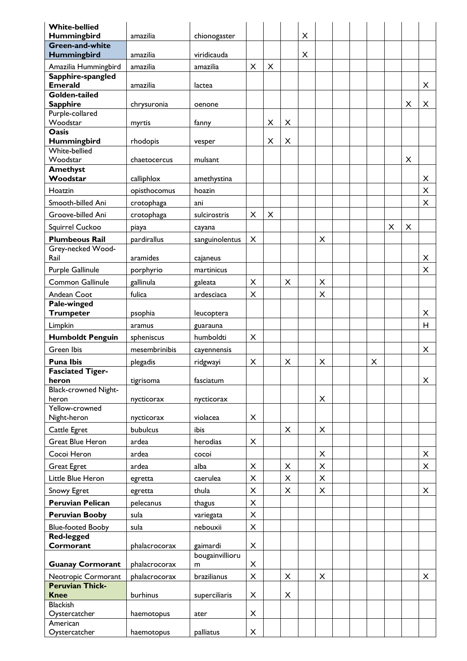| <b>White-bellied</b>                       |               |                      |                |          |                |   |          |  |   |   |                |                |
|--------------------------------------------|---------------|----------------------|----------------|----------|----------------|---|----------|--|---|---|----------------|----------------|
| Hummingbird<br><b>Green-and-white</b>      | amazilia      | chionogaster         |                |          |                | X |          |  |   |   |                |                |
| <b>Hummingbird</b>                         | amazilia      | viridicauda          |                |          |                | X |          |  |   |   |                |                |
| Amazilia Hummingbird                       | amazilia      | amazilia             | $\times$       | $\times$ |                |   |          |  |   |   |                |                |
| Sapphire-spangled<br><b>Emerald</b>        | amazilia      | lactea               |                |          |                |   |          |  |   |   |                | X              |
| Golden-tailed                              |               |                      |                |          |                |   |          |  |   |   | X              | X              |
| <b>Sapphire</b><br>Purple-collared         | chrysuronia   | oenone               |                |          |                |   |          |  |   |   |                |                |
| Woodstar                                   | myrtis        | fanny                |                | X        | $\pmb{\times}$ |   |          |  |   |   |                |                |
| <b>Oasis</b>                               |               |                      |                |          |                |   |          |  |   |   |                |                |
| Hummingbird<br>White-bellied               | rhodopis      | vesper               |                | X        | $\pmb{\times}$ |   |          |  |   |   |                |                |
| Woodstar                                   | chaetocercus  | mulsant              |                |          |                |   |          |  |   |   | $\pmb{\times}$ |                |
| Amethyst                                   |               |                      |                |          |                |   |          |  |   |   |                |                |
| Woodstar                                   | calliphlox    | amethystina          |                |          |                |   |          |  |   |   |                | X              |
| Hoatzin                                    | opisthocomus  | hoazin               |                |          |                |   |          |  |   |   |                | X              |
| Smooth-billed Ani                          | crotophaga    | ani                  |                |          |                |   |          |  |   |   |                | X              |
| Groove-billed Ani                          | crotophaga    | sulcirostris         | X              | X        |                |   |          |  |   |   |                |                |
| Squirrel Cuckoo                            | piaya         | cayana               |                |          |                |   |          |  |   | X | $\times$       |                |
| <b>Plumbeous Rail</b><br>Grey-necked Wood- | pardirallus   | sanguinolentus       | X              |          |                |   | X        |  |   |   |                |                |
| Rail                                       | aramides      | cajaneus             |                |          |                |   |          |  |   |   |                | X              |
| Purple Gallinule                           | porphyrio     | martinicus           |                |          |                |   |          |  |   |   |                | X              |
| Common Gallinule                           | gallinula     | galeata              | $\pmb{\times}$ |          | X              |   | X        |  |   |   |                |                |
| Andean Coot                                | fulica        | ardesciaca           | $\pmb{\times}$ |          |                |   | X        |  |   |   |                |                |
| Pale-winged                                |               |                      |                |          |                |   |          |  |   |   |                |                |
| <b>Trumpeter</b>                           | psophia       | leucoptera           |                |          |                |   |          |  |   |   |                | X              |
| Limpkin                                    | aramus        | guarauna             |                |          |                |   |          |  |   |   |                | H              |
| <b>Humboldt Penguin</b>                    | spheniscus    | humboldti            | X              |          |                |   |          |  |   |   |                |                |
| <b>Green Ibis</b>                          | mesembrinibis | cayennensis          |                |          |                |   |          |  |   |   |                | X              |
| <b>Puna Ibis</b>                           | plegadis      | ridgwayi             | X              |          | X              |   | X        |  | X |   |                |                |
| <b>Fasciated Tiger-</b><br>heron           | tigrisoma     | fasciatum            |                |          |                |   |          |  |   |   |                | X              |
| Black-crowned Night-                       |               |                      |                |          |                |   |          |  |   |   |                |                |
| heron<br>Yellow-crowned                    | nycticorax    | nycticorax           |                |          |                |   | X        |  |   |   |                |                |
| Night-heron                                | nycticorax    | violacea             | X              |          |                |   |          |  |   |   |                |                |
| Cattle Egret                               | bubulcus      | ibis                 |                |          | X              |   | X        |  |   |   |                |                |
| <b>Great Blue Heron</b>                    | ardea         | herodias             | X              |          |                |   |          |  |   |   |                |                |
| Cocoi Heron                                | ardea         | cocoi                |                |          |                |   | X        |  |   |   |                | X              |
| <b>Great Egret</b>                         | ardea         | alba                 | X              |          | X              |   | $\times$ |  |   |   |                | X              |
| Little Blue Heron                          | egretta       | caerulea             | X              |          | X              |   | X        |  |   |   |                |                |
| Snowy Egret                                | egretta       | thula                | $\pmb{\times}$ |          | X              |   | $\times$ |  |   |   |                | X              |
| <b>Peruvian Pelican</b>                    | pelecanus     | thagus               | $\mathsf{X}$   |          |                |   |          |  |   |   |                |                |
| <b>Peruvian Booby</b>                      | sula          | variegata            | $\pmb{\times}$ |          |                |   |          |  |   |   |                |                |
| <b>Blue-footed Booby</b>                   | sula          | nebouxii             | $\pmb{\times}$ |          |                |   |          |  |   |   |                |                |
| <b>Red-legged</b>                          |               |                      |                |          |                |   |          |  |   |   |                |                |
| Cormorant                                  | phalacrocorax | gaimardi             | $\pmb{\times}$ |          |                |   |          |  |   |   |                |                |
| <b>Guanay Cormorant</b>                    | phalacrocorax | bougainvillioru<br>m | X              |          |                |   |          |  |   |   |                |                |
| Neotropic Cormorant                        | phalacrocorax | brazilianus          | X              |          | X              |   | $\times$ |  |   |   |                | $\pmb{\times}$ |
| <b>Peruvian Thick-</b>                     |               |                      |                |          |                |   |          |  |   |   |                |                |
| <b>Knee</b>                                | burhinus      | superciliaris        | X              |          | X              |   |          |  |   |   |                |                |
| <b>Blackish</b><br>Oystercatcher           | haemotopus    | ater                 | $\pmb{\times}$ |          |                |   |          |  |   |   |                |                |
| American                                   |               |                      |                |          |                |   |          |  |   |   |                |                |
| Oystercatcher                              | haemotopus    | palliatus            | X              |          |                |   |          |  |   |   |                |                |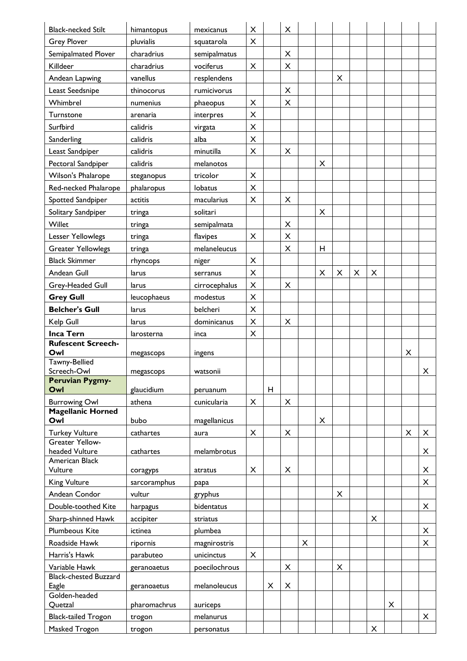| <b>Black-necked Stilt</b>             | himantopus               | mexicanus     | X |   | X              |   |   |   |   |   |   |   |                |
|---------------------------------------|--------------------------|---------------|---|---|----------------|---|---|---|---|---|---|---|----------------|
| <b>Grey Plover</b>                    | pluvialis                | squatarola    | X |   |                |   |   |   |   |   |   |   |                |
| Semipalmated Plover                   | charadrius               | semipalmatus  |   |   | $\pmb{\times}$ |   |   |   |   |   |   |   |                |
| Killdeer                              | charadrius               | vociferus     | X |   | X              |   |   |   |   |   |   |   |                |
| Andean Lapwing                        | vanellus                 | resplendens   |   |   |                |   |   | X |   |   |   |   |                |
| Least Seedsnipe                       | thinocorus               | rumicivorus   |   |   | $\pmb{\times}$ |   |   |   |   |   |   |   |                |
| Whimbrel                              | numenius                 | phaeopus      | X |   | $\pmb{\times}$ |   |   |   |   |   |   |   |                |
| Turnstone                             | arenaria                 | interpres     | X |   |                |   |   |   |   |   |   |   |                |
| Surfbird                              | calidris                 | virgata       | X |   |                |   |   |   |   |   |   |   |                |
| Sanderling                            | calidris                 | alba          | X |   |                |   |   |   |   |   |   |   |                |
| Least Sandpiper                       | calidris                 | minutilla     | X |   | X              |   |   |   |   |   |   |   |                |
| Pectoral Sandpiper                    | calidris                 | melanotos     |   |   |                |   | X |   |   |   |   |   |                |
| Wilson's Phalarope                    | steganopus               | tricolor      | X |   |                |   |   |   |   |   |   |   |                |
| Red-necked Phalarope                  | phalaropus               | lobatus       | X |   |                |   |   |   |   |   |   |   |                |
| Spotted Sandpiper                     | actitis                  | macularius    | X |   | X              |   |   |   |   |   |   |   |                |
| Solitary Sandpiper                    | tringa                   | solitari      |   |   |                |   | X |   |   |   |   |   |                |
| Willet                                | tringa                   | semipalmata   |   |   | $\pmb{\times}$ |   |   |   |   |   |   |   |                |
| Lesser Yellowlegs                     | tringa                   | flavipes      | X |   | $\pmb{\times}$ |   |   |   |   |   |   |   |                |
| <b>Greater Yellowlegs</b>             | tringa                   | melaneleucus  |   |   | X              |   | H |   |   |   |   |   |                |
| <b>Black Skimmer</b>                  | rhyncops                 | niger         | X |   |                |   |   |   |   |   |   |   |                |
| Andean Gull                           | larus                    | serranus      | X |   |                |   | X | X | X | X |   |   |                |
| Grey-Headed Gull                      | larus                    | cirrocephalus | X |   | X              |   |   |   |   |   |   |   |                |
| <b>Grey Gull</b>                      | leucophaeus              | modestus      | X |   |                |   |   |   |   |   |   |   |                |
| <b>Belcher's Gull</b>                 | larus                    | belcheri      | X |   |                |   |   |   |   |   |   |   |                |
| Kelp Gull                             | larus                    | dominicanus   | X |   | X              |   |   |   |   |   |   |   |                |
| <b>Inca Tern</b>                      | larosterna               | inca          | X |   |                |   |   |   |   |   |   |   |                |
| <b>Rufescent Screech-</b><br>Owl      | megascops                | ingens        |   |   |                |   |   |   |   |   |   | X |                |
| Tawny-Bellied<br>Screech-Owl          | megascops                | watsonii      |   |   |                |   |   |   |   |   |   |   | X              |
| <b>Peruvian Pygmy-</b>                |                          |               |   |   |                |   |   |   |   |   |   |   |                |
| Owl                                   | glaucidium               | peruanum      |   | H |                |   |   |   |   |   |   |   |                |
| <b>Burrowing Owl</b>                  | athena                   | cunicularia   | X |   | $\pmb{\times}$ |   |   |   |   |   |   |   |                |
| <b>Magellanic Horned</b><br>Owl       | bubo                     | magellanicus  |   |   |                |   | X |   |   |   |   |   |                |
| <b>Turkey Vulture</b>                 | cathartes                | aura          | X |   | X              |   |   |   |   |   |   | X | X              |
| Greater Yellow-                       |                          |               |   |   |                |   |   |   |   |   |   |   |                |
| headed Vulture                        | cathartes                | melambrotus   |   |   |                |   |   |   |   |   |   |   | X              |
| American Black<br>Vulture             |                          | atratus       | X |   | X              |   |   |   |   |   |   |   | X              |
| <b>King Vulture</b>                   | coragyps<br>sarcoramphus | papa          |   |   |                |   |   |   |   |   |   |   | X              |
| Andean Condor                         | vultur                   | gryphus       |   |   |                |   |   | X |   |   |   |   |                |
| Double-toothed Kite                   | harpagus                 | bidentatus    |   |   |                |   |   |   |   |   |   |   | X              |
| Sharp-shinned Hawk                    | accipiter                | striatus      |   |   |                |   |   |   |   | X |   |   |                |
| <b>Plumbeous Kite</b>                 | ictinea                  | plumbea       |   |   |                |   |   |   |   |   |   |   | $\pmb{\times}$ |
| Roadside Hawk                         | ripornis                 | magnirostris  |   |   |                | X |   |   |   |   |   |   | X              |
| Harris's Hawk                         | parabuteo                | unicinctus    | X |   |                |   |   |   |   |   |   |   |                |
| Variable Hawk                         | geranoaetus              | poecilochrous |   |   | $\pmb{\times}$ |   |   | X |   |   |   |   |                |
| <b>Black-chested Buzzard</b><br>Eagle | geranoaetus              | melanoleucus  |   | X | $\pmb{\times}$ |   |   |   |   |   |   |   |                |
| Golden-headed                         |                          |               |   |   |                |   |   |   |   |   |   |   |                |
| Quetzal                               | pharomachrus             | auriceps      |   |   |                |   |   |   |   |   | X |   |                |
| <b>Black-tailed Trogon</b>            | trogon                   | melanurus     |   |   |                |   |   |   |   |   |   |   | X              |
| Masked Trogon                         | trogon                   | personatus    |   |   |                |   |   |   |   | X |   |   |                |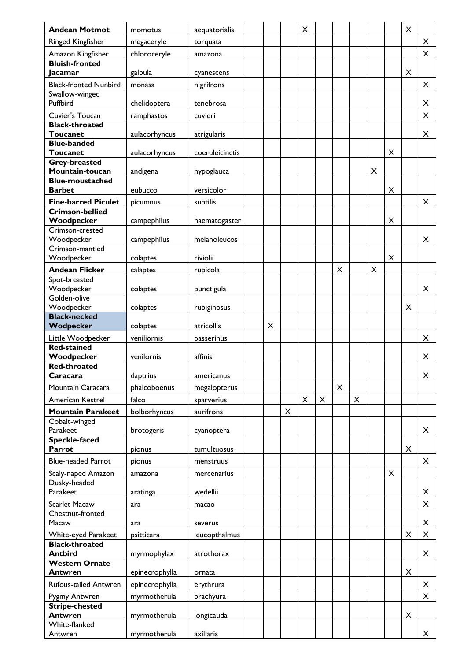| <b>Andean Motmot</b>                      | momotus        | aequatorialis            |   |                | $\pmb{\times}$ |   |                |                |          |   | X |          |
|-------------------------------------------|----------------|--------------------------|---|----------------|----------------|---|----------------|----------------|----------|---|---|----------|
| Ringed Kingfisher                         | megaceryle     | torquata                 |   |                |                |   |                |                |          |   |   | X        |
| Amazon Kingfisher                         | chloroceryle   | amazona                  |   |                |                |   |                |                |          |   |   | $\times$ |
| <b>Bluish-fronted</b><br>Jacamar          | galbula        |                          |   |                |                |   |                |                |          |   | X |          |
| <b>Black-fronted Nunbird</b>              | monasa         | cyanescens<br>nigrifrons |   |                |                |   |                |                |          |   |   | X        |
| Swallow-winged                            |                |                          |   |                |                |   |                |                |          |   |   |          |
| Puffbird                                  | chelidoptera   | tenebrosa                |   |                |                |   |                |                |          |   |   | X        |
| Cuvier's Toucan                           | ramphastos     | cuvieri                  |   |                |                |   |                |                |          |   |   | X        |
| <b>Black-throated</b>                     |                |                          |   |                |                |   |                |                |          |   |   |          |
| <b>Toucanet</b><br><b>Blue-banded</b>     | aulacorhyncus  | atrigularis              |   |                |                |   |                |                |          |   |   | X        |
| <b>Toucanet</b>                           | aulacorhyncus  | coeruleicinctis          |   |                |                |   |                |                |          | X |   |          |
| <b>Grey-breasted</b>                      |                |                          |   |                |                |   |                |                |          |   |   |          |
| Mountain-toucan<br><b>Blue-moustached</b> | andigena       | hypoglauca               |   |                |                |   |                |                | X        |   |   |          |
| <b>Barbet</b>                             | eubucco        | versicolor               |   |                |                |   |                |                |          | X |   |          |
| <b>Fine-barred Piculet</b>                | picumnus       | subtilis                 |   |                |                |   |                |                |          |   |   | X        |
| <b>Crimson-bellied</b>                    |                |                          |   |                |                |   |                |                |          |   |   |          |
| Woodpecker<br>Crimson-crested             | campephilus    | haematogaster            |   |                |                |   |                |                |          | X |   |          |
| Woodpecker                                | campephilus    | melanoleucos             |   |                |                |   |                |                |          |   |   | X        |
| Crimson-mantled                           |                |                          |   |                |                |   |                |                |          |   |   |          |
| Woodpecker                                | colaptes       | riviolii                 |   |                |                |   |                |                |          | X |   |          |
| <b>Andean Flicker</b><br>Spot-breasted    | calaptes       | rupicola                 |   |                |                |   | X              |                | $\times$ |   |   |          |
| Woodpecker                                | colaptes       | punctigula               |   |                |                |   |                |                |          |   |   | X        |
| Golden-olive                              |                |                          |   |                |                |   |                |                |          |   |   |          |
| Woodpecker                                | colaptes       | rubiginosus              |   |                |                |   |                |                |          |   | X |          |
| <b>Black-necked</b><br>Wodpecker          | colaptes       | atricollis               | X |                |                |   |                |                |          |   |   |          |
| Little Woodpecker                         | veniliornis    | passerinus               |   |                |                |   |                |                |          |   |   | X        |
| <b>Red-stained</b>                        |                |                          |   |                |                |   |                |                |          |   |   |          |
| Woodpecker<br><b>Red-throated</b>         | venilornis     | affinis                  |   |                |                |   |                |                |          |   |   | X        |
| Caracara                                  | daptrius       | americanus               |   |                |                |   |                |                |          |   |   | X        |
| Mountain Caracara                         | phalcoboenus   | megalopterus             |   |                |                |   | $\pmb{\times}$ |                |          |   |   |          |
| American Kestrel                          | falco          | sparverius               |   |                | X              | X |                | $\pmb{\times}$ |          |   |   |          |
| <b>Mountain Parakeet</b>                  | bolborhyncus   | aurifrons                |   | $\pmb{\times}$ |                |   |                |                |          |   |   |          |
| Cobalt-winged                             |                |                          |   |                |                |   |                |                |          |   |   |          |
| Parakeet<br><b>Speckle-faced</b>          | brotogeris     | cyanoptera               |   |                |                |   |                |                |          |   |   | X        |
| Parrot                                    | pionus         | tumultuosus              |   |                |                |   |                |                |          |   | X |          |
| <b>Blue-headed Parrot</b>                 | pionus         | menstruus                |   |                |                |   |                |                |          |   |   | X        |
| Scaly-naped Amazon                        | amazona        | mercenarius              |   |                |                |   |                |                |          | X |   |          |
| Dusky-headed                              |                |                          |   |                |                |   |                |                |          |   |   |          |
| Parakeet                                  | aratinga       | wedellii                 |   |                |                |   |                |                |          |   |   | X        |
| <b>Scarlet Macaw</b><br>Chestnut-fronted  | ara            | macao                    |   |                |                |   |                |                |          |   |   | X        |
| Macaw                                     | ara            | severus                  |   |                |                |   |                |                |          |   |   | X        |
| White-eyed Parakeet                       | psitticara     | leucopthalmus            |   |                |                |   |                |                |          |   | X | X        |
| <b>Black-throated</b>                     |                |                          |   |                |                |   |                |                |          |   |   |          |
| <b>Antbird</b><br><b>Western Ornate</b>   | myrmophylax    | atrothorax               |   |                |                |   |                |                |          |   |   | X        |
| <b>Antwren</b>                            | epinecrophylla | ornata                   |   |                |                |   |                |                |          |   | X |          |
| Rufous-tailed Antwren                     | epinecrophylla | erythrura                |   |                |                |   |                |                |          |   |   | X        |
| Pygmy Antwren                             | myrmotherula   | brachyura                |   |                |                |   |                |                |          |   |   | X        |
| <b>Stripe-chested</b>                     |                |                          |   |                |                |   |                |                |          |   |   |          |
| <b>Antwren</b><br>White-flanked           | myrmotherula   | longicauda               |   |                |                |   |                |                |          |   | X |          |
| Antwren                                   | myrmotherula   | axillaris                |   |                |                |   |                |                |          |   |   | $\times$ |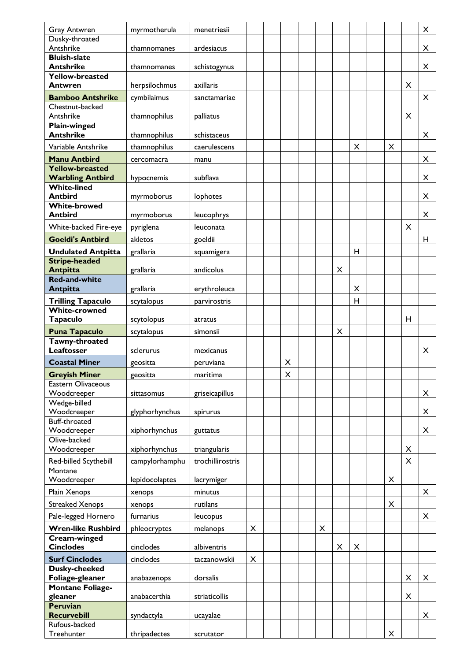| <b>Gray Antwren</b>                     | myrmotherula   | menetriesii      |   |   |   |   |          |                |                | X |
|-----------------------------------------|----------------|------------------|---|---|---|---|----------|----------------|----------------|---|
| Dusky-throated                          |                |                  |   |   |   |   |          |                |                |   |
| Antshrike                               | thamnomanes    | ardesiacus       |   |   |   |   |          |                |                | X |
| <b>Bluish-slate</b><br><b>Antshrike</b> | thamnomanes    |                  |   |   |   |   |          |                |                | X |
| <b>Yellow-breasted</b>                  |                | schistogynus     |   |   |   |   |          |                |                |   |
| Antwren                                 | herpsilochmus  | axillaris        |   |   |   |   |          |                | X              |   |
| <b>Bamboo Antshrike</b>                 | cymbilaimus    | sanctamariae     |   |   |   |   |          |                |                | X |
| Chestnut-backed                         |                |                  |   |   |   |   |          |                |                |   |
| Antshrike                               | thamnophilus   | palliatus        |   |   |   |   |          |                | $\pmb{\times}$ |   |
| <b>Plain-winged</b><br><b>Antshrike</b> | thamnophilus   | schistaceus      |   |   |   |   |          |                |                | X |
| Variable Antshrike                      | thamnophilus   | caerulescens     |   |   |   |   | $\times$ | X              |                |   |
| <b>Manu Antbird</b>                     |                |                  |   |   |   |   |          |                |                | X |
| Yellow-breasted                         | cercomacra     | manu             |   |   |   |   |          |                |                |   |
| <b>Warbling Antbird</b>                 | hypocnemis     | subflava         |   |   |   |   |          |                |                | X |
| <b>White-lined</b>                      |                |                  |   |   |   |   |          |                |                |   |
| <b>Antbird</b>                          | myrmoborus     | lophotes         |   |   |   |   |          |                |                | X |
| <b>White-browed</b><br><b>Antbird</b>   | myrmoborus     | leucophrys       |   |   |   |   |          |                |                | X |
| White-backed Fire-eye                   | pyriglena      | leuconata        |   |   |   |   |          |                | X              |   |
| <b>Goeldi's Antbird</b>                 | akletos        | goeldii          |   |   |   |   |          |                |                | н |
| <b>Undulated Antpitta</b>               | grallaria      | squamigera       |   |   |   |   | H        |                |                |   |
| <b>Stripe-headed</b>                    |                |                  |   |   |   |   |          |                |                |   |
| <b>Antpitta</b>                         | grallaria      | andicolus        |   |   |   | X |          |                |                |   |
| <b>Red-and-white</b>                    |                |                  |   |   |   |   |          |                |                |   |
| <b>Antpitta</b>                         | grallaria      | erythroleuca     |   |   |   |   | X        |                |                |   |
| <b>Trilling Tapaculo</b>                | scytalopus     | parvirostris     |   |   |   |   | н        |                |                |   |
| <b>White-crowned</b><br><b>Tapaculo</b> | scytolopus     | atratus          |   |   |   |   |          |                | н              |   |
| <b>Puna Tapaculo</b>                    | scytalopus     | simonsii         |   |   |   | X |          |                |                |   |
| Tawny-throated                          |                |                  |   |   |   |   |          |                |                |   |
| Leaftosser                              | sclerurus      | mexicanus        |   |   |   |   |          |                |                | X |
| <b>Coastal Miner</b>                    | geositta       | peruviana        |   | X |   |   |          |                |                |   |
| <b>Greyish Miner</b>                    | geositta       | maritima         |   | X |   |   |          |                |                |   |
| <b>Eastern Olivaceous</b>               |                |                  |   |   |   |   |          |                |                |   |
| Woodcreeper<br>Wedge-billed             | sittasomus     | griseicapillus   |   |   |   |   |          |                |                | X |
| Woodcreeper                             | glyphorhynchus | spirurus         |   |   |   |   |          |                |                | X |
| Buff-throated                           |                |                  |   |   |   |   |          |                |                |   |
| Woodcreeper                             | xiphorhynchus  | guttatus         |   |   |   |   |          |                |                | X |
| Olive-backed                            |                |                  |   |   |   |   |          |                |                |   |
| Woodcreeper                             | xiphorhynchus  | triangularis     |   |   |   |   |          |                | X              |   |
| Red-billed Scythebill<br>Montane        | campylorhamphu | trochillirostris |   |   |   |   |          |                | X              |   |
| Woodcreeper                             | lepidocolaptes | lacrymiger       |   |   |   |   |          | X              |                |   |
| Plain Xenops                            | xenops         | minutus          |   |   |   |   |          |                |                | X |
| <b>Streaked Xenops</b>                  | xenops         | rutilans         |   |   |   |   |          | $\pmb{\times}$ |                |   |
| Pale-legged Hornero                     | furnarius      | leucopus         |   |   |   |   |          |                |                | X |
| <b>Wren-like Rushbird</b>               | phleocryptes   | melanops         | X |   | X |   |          |                |                |   |
| Cream-winged                            |                |                  |   |   |   |   |          |                |                |   |
| <b>Cinclodes</b>                        | cinclodes      | albiventris      |   |   |   | X | X        |                |                |   |
| <b>Surf Cinclodes</b>                   | cinclodes      | taczanowskii     | X |   |   |   |          |                |                |   |
| Dusky-cheeked<br>Foliage-gleaner        | anabazenops    | dorsalis         |   |   |   |   |          |                | X              | X |
| <b>Montane Foliage-</b>                 |                |                  |   |   |   |   |          |                |                |   |
|                                         |                |                  |   |   |   |   |          |                |                |   |
| gleaner                                 | anabacerthia   | striaticollis    |   |   |   |   |          |                | X              |   |
| <b>Peruvian</b>                         |                |                  |   |   |   |   |          |                |                |   |
| <b>Recurvebill</b><br>Rufous-backed     | syndactyla     | ucayalae         |   |   |   |   |          |                |                | X |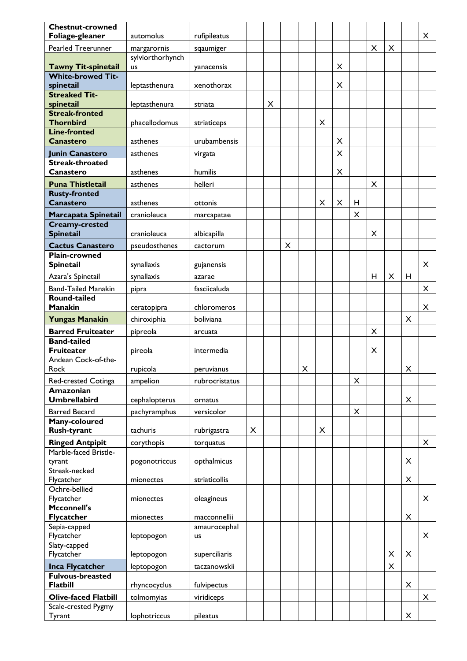| <b>Chestnut-crowned</b>            |                  |                   |   |   |          |                |   |                |                |                |   |   |   |
|------------------------------------|------------------|-------------------|---|---|----------|----------------|---|----------------|----------------|----------------|---|---|---|
| Foliage-gleaner                    | automolus        | rufipileatus      |   |   |          |                |   |                |                |                |   |   | X |
| <b>Pearled Treerunner</b>          | margarornis      | sqaumiger         |   |   |          |                |   |                |                | $\mathsf{X}$   | X |   |   |
|                                    | sylviorthorhynch |                   |   |   |          |                |   |                |                |                |   |   |   |
| <b>Tawny Tit-spinetail</b>         | us               | yanacensis        |   |   |          |                |   | X              |                |                |   |   |   |
| <b>White-browed Tit-</b>           |                  |                   |   |   |          |                |   |                |                |                |   |   |   |
| spinetail                          | leptasthenura    | xenothorax        |   |   |          |                |   | X              |                |                |   |   |   |
| <b>Streaked Tit-</b>               |                  |                   |   | X |          |                |   |                |                |                |   |   |   |
| spinetail<br><b>Streak-fronted</b> | leptasthenura    | striata           |   |   |          |                |   |                |                |                |   |   |   |
| <b>Thornbird</b>                   | phacellodomus    | striaticeps       |   |   |          |                | X |                |                |                |   |   |   |
| <b>Line-fronted</b>                |                  |                   |   |   |          |                |   |                |                |                |   |   |   |
| <b>Canastero</b>                   | asthenes         | urubambensis      |   |   |          |                |   | X              |                |                |   |   |   |
| Junin Canastero                    | asthenes         | virgata           |   |   |          |                |   | X              |                |                |   |   |   |
| <b>Streak-throated</b>             |                  |                   |   |   |          |                |   |                |                |                |   |   |   |
| Canastero                          | asthenes         | humilis           |   |   |          |                |   | $\pmb{\times}$ |                |                |   |   |   |
| <b>Puna Thistletail</b>            | asthenes         | helleri           |   |   |          |                |   |                |                | $\times$       |   |   |   |
| <b>Rusty-fronted</b>               |                  |                   |   |   |          |                |   |                |                |                |   |   |   |
| <b>Canastero</b>                   | asthenes         | ottonis           |   |   |          |                | X | $\times$       | H              |                |   |   |   |
| Marcapata Spinetail                | cranioleuca      | marcapatae        |   |   |          |                |   |                | $\pmb{\times}$ |                |   |   |   |
| <b>Creamy-crested</b>              |                  |                   |   |   |          |                |   |                |                |                |   |   |   |
| <b>Spinetail</b>                   | cranioleuca      | albicapilla       |   |   |          |                |   |                |                | X              |   |   |   |
| <b>Cactus Canastero</b>            | pseudosthenes    | cactorum          |   |   | $\times$ |                |   |                |                |                |   |   |   |
| <b>Plain-crowned</b>               |                  |                   |   |   |          |                |   |                |                |                |   |   |   |
| <b>Spinetail</b>                   | synallaxis       | gujanensis        |   |   |          |                |   |                |                |                |   |   | X |
| Azara's Spinetail                  | synallaxis       | azarae            |   |   |          |                |   |                |                | н              | X | н |   |
| <b>Band-Tailed Manakin</b>         | pipra            | fasciicaluda      |   |   |          |                |   |                |                |                |   |   | X |
| <b>Round-tailed</b>                |                  |                   |   |   |          |                |   |                |                |                |   |   |   |
| <b>Manakin</b>                     | ceratopipra      | chloromeros       |   |   |          |                |   |                |                |                |   |   | X |
| <b>Yungas Manakin</b>              | chiroxiphia      | boliviana         |   |   |          |                |   |                |                |                |   | X |   |
| <b>Barred Fruiteater</b>           | pipreola         |                   |   |   |          |                |   |                |                | $\pmb{\times}$ |   |   |   |
| <b>Band-tailed</b>                 |                  | arcuata           |   |   |          |                |   |                |                |                |   |   |   |
| <b>Fruiteater</b>                  | pireola          | intermedia        |   |   |          |                |   |                |                | X              |   |   |   |
| Andean Cock-of-the-                |                  |                   |   |   |          |                |   |                |                |                |   |   |   |
| Rock                               | rupicola         | <b>Deruvianus</b> |   |   |          | $\pmb{\times}$ |   |                |                |                |   | X |   |
| Red-crested Cotinga                | ampelion         | rubrocristatus    |   |   |          |                |   |                | X              |                |   |   |   |
| Amazonian                          |                  |                   |   |   |          |                |   |                |                |                |   |   |   |
| <b>Umbrellabird</b>                | cephalopterus    | ornatus           |   |   |          |                |   |                |                |                |   | X |   |
| <b>Barred Becard</b>               | pachyramphus     | versicolor        |   |   |          |                |   |                | $\pmb{\times}$ |                |   |   |   |
| Many-coloured                      |                  |                   |   |   |          |                |   |                |                |                |   |   |   |
| <b>Rush-tyrant</b>                 | tachuris         | rubrigastra       | X |   |          |                | X |                |                |                |   |   |   |
| <b>Ringed Antpipit</b>             | corythopis       | torquatus         |   |   |          |                |   |                |                |                |   |   | X |
| Marble-faced Bristle-              |                  |                   |   |   |          |                |   |                |                |                |   |   |   |
| tyrant                             | pogonotriccus    | opthalmicus       |   |   |          |                |   |                |                |                |   | X |   |
| Streak-necked                      |                  |                   |   |   |          |                |   |                |                |                |   |   |   |
| Flycatcher                         | mionectes        | striaticollis     |   |   |          |                |   |                |                |                |   | X |   |
| Ochre-bellied<br>Flycatcher        |                  | oleagineus        |   |   |          |                |   |                |                |                |   |   | X |
| Mcconnell's                        | mionectes        |                   |   |   |          |                |   |                |                |                |   |   |   |
| <b>Flycatcher</b>                  | mionectes        | macconnellii      |   |   |          |                |   |                |                |                |   | X |   |
| Sepia-capped                       |                  | amaurocephal      |   |   |          |                |   |                |                |                |   |   |   |
| Flycatcher                         | leptopogon       | us                |   |   |          |                |   |                |                |                |   |   | X |
| Slaty-capped                       |                  |                   |   |   |          |                |   |                |                |                |   |   |   |
| Flycatcher                         | leptopogon       | superciliaris     |   |   |          |                |   |                |                |                | X | X |   |
| <b>Inca Flycatcher</b>             | leptopogon       | taczanowskii      |   |   |          |                |   |                |                |                | X |   |   |
| <b>Fulvous-breasted</b>            |                  |                   |   |   |          |                |   |                |                |                |   |   |   |
| <b>Flatbill</b>                    | rhyncocyclus     | fulvipectus       |   |   |          |                |   |                |                |                |   | X |   |
| <b>Olive-faced Flatbill</b>        | tolmomyias       | viridiceps        |   |   |          |                |   |                |                |                |   |   | X |
| Scale-crested Pygmy                |                  |                   |   |   |          |                |   |                |                |                |   |   |   |
| Tyrant                             | lophotriccus     | pileatus          |   |   |          |                |   |                |                |                |   | X |   |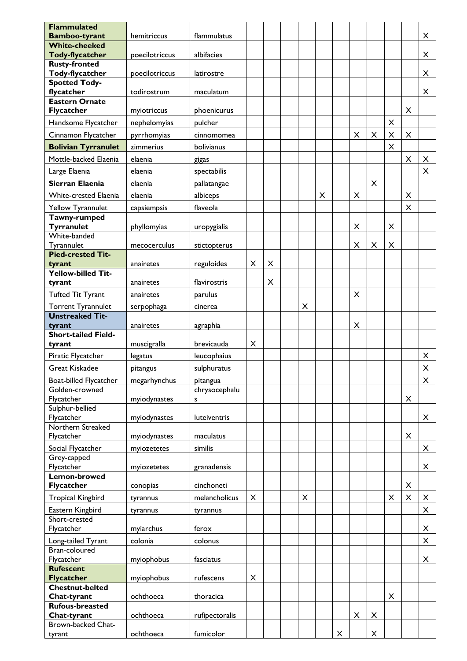| <b>Flammulated</b><br><b>Bamboo-tyrant</b> | hemitriccus    | flammulatus               |                |   |   |   |   |   |   |                |                | X              |
|--------------------------------------------|----------------|---------------------------|----------------|---|---|---|---|---|---|----------------|----------------|----------------|
| <b>White-cheeked</b>                       |                |                           |                |   |   |   |   |   |   |                |                |                |
| <b>Tody-flycatcher</b>                     | poecilotriccus | albifacies                |                |   |   |   |   |   |   |                |                | X              |
| <b>Rusty-fronted</b>                       |                |                           |                |   |   |   |   |   |   |                |                |                |
| <b>Tody-flycatcher</b>                     | poecilotriccus | latirostre                |                |   |   |   |   |   |   |                |                | $\pmb{\times}$ |
| <b>Spotted Tody-</b><br>flycatcher         | todirostrum    | maculatum                 |                |   |   |   |   |   |   |                |                | $\pmb{\times}$ |
| <b>Eastern Ornate</b>                      |                |                           |                |   |   |   |   |   |   |                |                |                |
| <b>Flycatcher</b>                          | myiotriccus    | phoenicurus               |                |   |   |   |   |   |   |                | X              |                |
| Handsome Flycatcher                        | nephelomyias   | pulcher                   |                |   |   |   |   |   |   | $\pmb{\times}$ |                |                |
| Cinnamon Flycatcher                        | pyrrhomyias    | cinnomomea                |                |   |   |   |   | X | X | X              | X              |                |
| <b>Bolivian Tyrranulet</b>                 | zimmerius      | bolivianus                |                |   |   |   |   |   |   | $\times$       |                |                |
| Mottle-backed Elaenia                      | elaenia        | gigas                     |                |   |   |   |   |   |   |                | $\times$       | X              |
| Large Elaenia                              | elaenia        | spectabilis               |                |   |   |   |   |   |   |                |                | X              |
| Sierran Elaenia                            | elaenia        | pallatangae               |                |   |   |   |   |   | X |                |                |                |
| <b>White-crested Elaenia</b>               | elaenia        | albiceps                  |                |   |   | X |   | X |   |                | X              |                |
| Yellow Tyrannulet                          | capsiempsis    | flaveola                  |                |   |   |   |   |   |   |                | $\times$       |                |
| Tawny-rumped                               |                |                           |                |   |   |   |   |   |   |                |                |                |
| <b>Tyrranulet</b>                          | phyllomyias    | uropygialis               |                |   |   |   |   | X |   | X              |                |                |
| White-banded                               |                |                           |                |   |   |   |   |   |   |                |                |                |
| Tyrannulet<br><b>Pied-crested Tit-</b>     | mecocerculus   | stictopterus              |                |   |   |   |   | X | X | X              |                |                |
| tyrant                                     | anairetes      | reguloides                | X              | X |   |   |   |   |   |                |                |                |
| <b>Yellow-billed Tit-</b>                  |                |                           |                |   |   |   |   |   |   |                |                |                |
| tyrant                                     | anairetes      | flavirostris              |                | X |   |   |   |   |   |                |                |                |
| <b>Tufted Tit Tyrant</b>                   | anairetes      | parulus                   |                |   |   |   |   | X |   |                |                |                |
| <b>Torrent Tyrannulet</b>                  | serpophaga     | cinerea                   |                |   | X |   |   |   |   |                |                |                |
| <b>Unstreaked Tit-</b>                     |                |                           |                |   |   |   |   |   |   |                |                |                |
| tyrant                                     | anairetes      | agraphia                  |                |   |   |   |   | X |   |                |                |                |
| <b>Short-tailed Field-</b><br>tyrant       | muscigralla    | brevicauda                | X              |   |   |   |   |   |   |                |                |                |
| Piratic Flycatcher                         |                | leucophaius               |                |   |   |   |   |   |   |                |                | X              |
|                                            | legatus        |                           |                |   |   |   |   |   |   |                |                |                |
| <b>Great Kiskadee</b>                      | pitangus       | sulphuratus               |                |   |   |   |   |   |   |                |                | X              |
| Boat-billed Flycatcher<br>Golden-crowned   | megarhynchus   | pitangua<br>chrysocephalu |                |   |   |   |   |   |   |                |                | X              |
| Flycatcher                                 | myiodynastes   | s                         |                |   |   |   |   |   |   |                | X              |                |
| Sulphur-bellied                            |                |                           |                |   |   |   |   |   |   |                |                |                |
| Flycatcher                                 | myiodynastes   | luteiventris              |                |   |   |   |   |   |   |                |                | X              |
| Northern Streaked                          |                |                           |                |   |   |   |   |   |   |                |                |                |
| Flycatcher                                 | myiodynastes   | maculatus                 |                |   |   |   |   |   |   |                | X              |                |
| Social Flycatcher<br>Grey-capped           | myiozetetes    | similis                   |                |   |   |   |   |   |   |                |                | X              |
| Flycatcher                                 | myiozetetes    | granadensis               |                |   |   |   |   |   |   |                |                | X              |
| Lemon-browed                               |                |                           |                |   |   |   |   |   |   |                |                |                |
| <b>Flycatcher</b>                          | conopias       | cinchoneti                |                |   |   |   |   |   |   |                | X              |                |
| <b>Tropical Kingbird</b>                   | tyrannus       | melancholicus             | $\pmb{\times}$ |   | X |   |   |   |   | X              | $\pmb{\times}$ | X              |
| Eastern Kingbird                           | tyrannus       | tyrannus                  |                |   |   |   |   |   |   |                |                | X              |
| Short-crested                              |                |                           |                |   |   |   |   |   |   |                |                |                |
| Flycatcher                                 | myiarchus      | ferox                     |                |   |   |   |   |   |   |                |                | X              |
| Long-tailed Tyrant<br>Bran-coloured        | colonia        | colonus                   |                |   |   |   |   |   |   |                |                | X              |
| Flycatcher                                 | myiophobus     | fasciatus                 |                |   |   |   |   |   |   |                |                | X              |
| <b>Rufescent</b>                           |                |                           |                |   |   |   |   |   |   |                |                |                |
| <b>Flycatcher</b>                          | myiophobus     | rufescens                 | X              |   |   |   |   |   |   |                |                |                |
| <b>Chestnut-belted</b>                     |                |                           |                |   |   |   |   |   |   |                |                |                |
| Chat-tyrant<br><b>Rufous-breasted</b>      | ochthoeca      | thoracica                 |                |   |   |   |   |   |   | X              |                |                |
| Chat-tyrant                                | ochthoeca      | rufipectoralis            |                |   |   |   |   | X | X |                |                |                |
| Brown-backed Chat-                         |                |                           |                |   |   |   |   |   |   |                |                |                |
| tyrant                                     | ochthoeca      | fumicolor                 |                |   |   |   | X |   | X |                |                |                |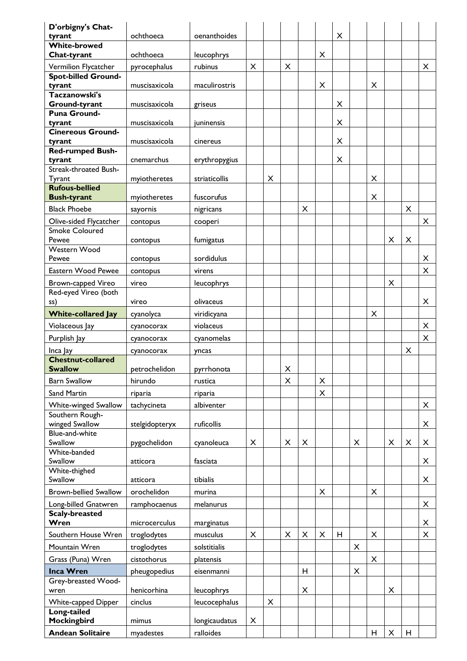| D'orbigny's Chat-                    | ochthoeca      | oenanthoides  |          |   |   |                |                | $\pmb{\times}$ |                |          |   |   |   |
|--------------------------------------|----------------|---------------|----------|---|---|----------------|----------------|----------------|----------------|----------|---|---|---|
| tyrant<br><b>White-browed</b>        |                |               |          |   |   |                |                |                |                |          |   |   |   |
| Chat-tyrant                          | ochthoeca      | leucophrys    |          |   |   |                | X              |                |                |          |   |   |   |
| Vermilion Flycatcher                 | pyrocephalus   | rubinus       | $\times$ |   | X |                |                |                |                |          |   |   | X |
| <b>Spot-billed Ground-</b>           |                |               |          |   |   |                |                |                |                |          |   |   |   |
| tyrant<br>Taczanowski's              | muscisaxicola  | maculirostris |          |   |   |                | $\times$       |                |                | $\times$ |   |   |   |
| <b>Ground-tyrant</b>                 | muscisaxicola  | griseus       |          |   |   |                |                | X              |                |          |   |   |   |
| <b>Puna Ground-</b>                  |                |               |          |   |   |                |                |                |                |          |   |   |   |
| tyrant<br><b>Cinereous Ground-</b>   | muscisaxicola  | iuninensis    |          |   |   |                |                | X              |                |          |   |   |   |
| tyrant                               | muscisaxicola  | cinereus      |          |   |   |                |                | X              |                |          |   |   |   |
| <b>Red-rumped Bush-</b>              |                |               |          |   |   |                |                |                |                |          |   |   |   |
| tyrant<br>Streak-throated Bush-      | cnemarchus     | erythropygius |          |   |   |                |                | X              |                |          |   |   |   |
| Tyrant                               | myiotheretes   | striaticollis |          | X |   |                |                |                |                | X        |   |   |   |
| <b>Rufous-bellied</b>                |                |               |          |   |   |                |                |                |                |          |   |   |   |
| <b>Bush-tyrant</b>                   | myiotheretes   | fuscorufus    |          |   |   |                |                |                |                | X        |   |   |   |
| <b>Black Phoebe</b>                  | sayornis       | nigricans     |          |   |   | $\pmb{\times}$ |                |                |                |          |   | X |   |
| Olive-sided Flycatcher               | contopus       | cooperi       |          |   |   |                |                |                |                |          |   |   | X |
| <b>Smoke Coloured</b><br>Pewee       | contopus       | fumigatus     |          |   |   |                |                |                |                |          | X | X |   |
| Western Wood                         |                |               |          |   |   |                |                |                |                |          |   |   |   |
| Pewee                                | contopus       | sordidulus    |          |   |   |                |                |                |                |          |   |   | X |
| Eastern Wood Pewee                   | contopus       | virens        |          |   |   |                |                |                |                |          |   |   | X |
| Brown-capped Vireo                   | vireo          | leucophrys    |          |   |   |                |                |                |                |          | X |   |   |
| Red-eyed Vireo (both                 |                |               |          |   |   |                |                |                |                |          |   |   |   |
| ss)                                  | vireo          | olivaceus     |          |   |   |                |                |                |                |          |   |   | X |
| <b>White-collared Jay</b>            | cyanolyca      | viridicyana   |          |   |   |                |                |                |                | X        |   |   |   |
| Violaceous Jay                       | cyanocorax     | violaceus     |          |   |   |                |                |                |                |          |   |   | X |
| Purplish Jay                         | cyanocorax     | cyanomelas    |          |   |   |                |                |                |                |          |   |   | X |
| Inca Jay<br><b>Chestnut-collared</b> | cyanocorax     | yncas         |          |   |   |                |                |                |                |          |   | X |   |
| <b>Swallow</b>                       | petrochelidon  | pyrrhonota    |          |   | X |                |                |                |                |          |   |   |   |
| <b>Barn Swallow</b>                  | hirundo        | rustica       |          |   | X |                | $\pmb{\times}$ |                |                |          |   |   |   |
| Sand Martin                          | riparia        | riparia       |          |   |   |                | X              |                |                |          |   |   |   |
| White-winged Swallow                 | tachycineta    | albiventer    |          |   |   |                |                |                |                |          |   |   | X |
| Southern Rough-                      |                |               |          |   |   |                |                |                |                |          |   |   |   |
| winged Swallow                       | stelgidopteryx | ruficollis    |          |   |   |                |                |                |                |          |   |   | X |
| Blue-and-white<br>Swallow            | pygochelidon   | cyanoleuca    | X        |   | X | $\pmb{\times}$ |                |                | X              |          | X | X | X |
| White-banded                         |                |               |          |   |   |                |                |                |                |          |   |   |   |
| Swallow                              | atticora       | fasciata      |          |   |   |                |                |                |                |          |   |   | X |
| White-thighed<br>Swallow             | atticora       | tibialis      |          |   |   |                |                |                |                |          |   |   | X |
| <b>Brown-bellied Swallow</b>         | orochelidon    | murina        |          |   |   |                | X              |                |                | X        |   |   |   |
| Long-billed Gnatwren                 | ramphocaenus   | melanurus     |          |   |   |                |                |                |                |          |   |   | X |
| <b>Scaly-breasted</b>                |                |               |          |   |   |                |                |                |                |          |   |   |   |
| Wren                                 | microcerculus  | marginatus    |          |   |   |                |                |                |                |          |   |   | X |
| Southern House Wren                  | troglodytes    | musculus      | X        |   | X | X              | X              | H              |                | X        |   |   | X |
| Mountain Wren                        | troglodytes    | solstitialis  |          |   |   |                |                |                | $\pmb{\times}$ |          |   |   |   |
| Grass (Puna) Wren                    | cistothorus    | platensis     |          |   |   |                |                |                |                | X        |   |   |   |
| <b>Inca Wren</b>                     | pheugopedius   | eisenmanni    |          |   |   | H              |                |                | X              |          |   |   |   |
| Grey-breasted Wood-                  |                |               |          |   |   |                |                |                |                |          |   |   |   |
| wren                                 | henicorhina    | leucophrys    |          |   |   | X              |                |                |                |          | X |   |   |
| White-capped Dipper<br>Long-tailed   | cinclus        | leucocephalus |          | X |   |                |                |                |                |          |   |   |   |
| Mockingbird                          | mimus          | longicaudatus | X        |   |   |                |                |                |                |          |   |   |   |
| <b>Andean Solitaire</b>              | myadestes      | ralloides     |          |   |   |                |                |                |                | H        | X | H |   |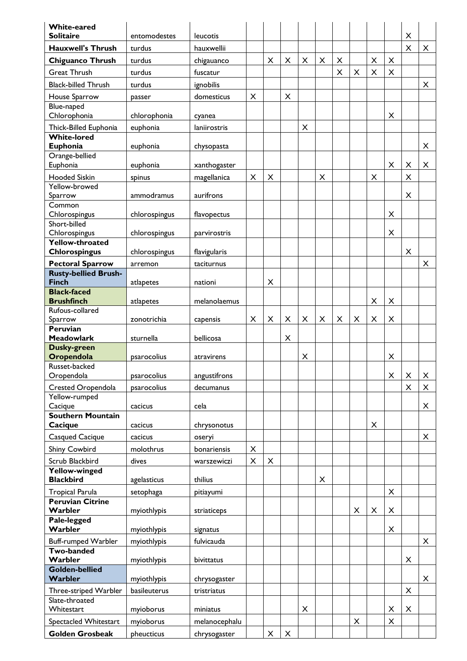| <b>White-eared</b><br><b>Solitaire</b>                 | entomodestes  | leucotis      |                |                |   |                |                |   |                |                |   | $\pmb{\times}$ |   |
|--------------------------------------------------------|---------------|---------------|----------------|----------------|---|----------------|----------------|---|----------------|----------------|---|----------------|---|
| <b>Hauxwell's Thrush</b>                               | turdus        | hauxwellii    |                |                |   |                |                |   |                |                |   | X              | X |
|                                                        |               |               |                |                |   |                |                |   |                |                |   |                |   |
| <b>Chiguanco Thrush</b>                                | turdus        | chigauanco    |                | X              | X | $\pmb{\times}$ | $\pmb{\times}$ | X |                | $\pmb{\times}$ | X |                |   |
| <b>Great Thrush</b>                                    | turdus        | fuscatur      |                |                |   |                |                | X | X              | X              | X |                |   |
| <b>Black-billed Thrush</b>                             | turdus        | ignobilis     |                |                |   |                |                |   |                |                |   |                | X |
| House Sparrow                                          | passer        | domesticus    | X              |                | X |                |                |   |                |                |   |                |   |
| Blue-naped                                             |               |               |                |                |   |                |                |   |                |                |   |                |   |
| Chlorophonia                                           | chlorophonia  | cyanea        |                |                |   |                |                |   |                |                | X |                |   |
| Thick-Billed Euphonia                                  | euphonia      | laniirostris  |                |                |   | $\pmb{\times}$ |                |   |                |                |   |                |   |
| <b>White-lored</b>                                     |               |               |                |                |   |                |                |   |                |                |   |                |   |
| Euphonia                                               | euphonia      | chysopasta    |                |                |   |                |                |   |                |                |   |                | X |
| Orange-bellied<br>Euphonia                             | euphonia      | xanthogaster  |                |                |   |                |                |   |                |                | X | X              | X |
| <b>Hooded Siskin</b>                                   |               |               | X              | X              |   |                | X              |   |                | X              |   | X              |   |
| Yellow-browed                                          | spinus        | magellanica   |                |                |   |                |                |   |                |                |   |                |   |
| Sparrow                                                | ammodramus    | aurifrons     |                |                |   |                |                |   |                |                |   | X              |   |
| Common                                                 |               |               |                |                |   |                |                |   |                |                |   |                |   |
| Chlorospingus                                          | chlorospingus | flavopectus   |                |                |   |                |                |   |                |                | X |                |   |
| Short-billed                                           |               |               |                |                |   |                |                |   |                |                |   |                |   |
| Chlorospingus                                          | chlorospingus | parvirostris  |                |                |   |                |                |   |                |                | X |                |   |
| Yellow-throated<br><b>Chlorospingus</b>                | chlorospingus | flavigularis  |                |                |   |                |                |   |                |                |   | X              |   |
|                                                        |               |               |                |                |   |                |                |   |                |                |   |                |   |
| <b>Pectoral Sparrow</b><br><b>Rusty-bellied Brush-</b> | arremon       | taciturnus    |                |                |   |                |                |   |                |                |   |                | X |
| <b>Finch</b>                                           | atlapetes     | nationi       |                | X              |   |                |                |   |                |                |   |                |   |
| <b>Black-faced</b>                                     |               |               |                |                |   |                |                |   |                |                |   |                |   |
| <b>Brushfinch</b>                                      | atlapetes     | melanolaemus  |                |                |   |                |                |   |                | $\pmb{\times}$ | X |                |   |
| Rufous-collared                                        |               |               |                |                |   |                |                |   |                |                |   |                |   |
| Sparrow                                                | zonotrichia   | capensis      | X              | X              | X | $\pmb{\times}$ | X              | X | $\pmb{\times}$ | $\pmb{\times}$ | X |                |   |
| Peruvian                                               |               |               |                |                |   |                |                |   |                |                |   |                |   |
| <b>Meadowlark</b><br>Dusky-green                       | sturnella     | bellicosa     |                |                | X |                |                |   |                |                |   |                |   |
| Oropendola                                             | psarocolius   | atravirens    |                |                |   | X              |                |   |                |                | X |                |   |
| Russet-backed                                          |               |               |                |                |   |                |                |   |                |                |   |                |   |
| Oropendola                                             | psarocolius   | angustifrons  |                |                |   |                |                |   |                |                | X | X              | X |
| <b>Crested Oropendola</b>                              | psarocolius   | decumanus     |                |                |   |                |                |   |                |                |   | $\times$       | X |
| Yellow-rumped                                          |               |               |                |                |   |                |                |   |                |                |   |                |   |
| Cacique                                                | cacicus       | cela          |                |                |   |                |                |   |                |                |   |                | X |
| <b>Southern Mountain</b>                               |               |               |                |                |   |                |                |   |                |                |   |                |   |
| Cacique                                                | cacicus       | chrysonotus   |                |                |   |                |                |   |                | X              |   |                |   |
| <b>Casqued Cacique</b>                                 | cacicus       | oseryi        |                |                |   |                |                |   |                |                |   |                | X |
| Shiny Cowbird                                          | molothrus     | bonariensis   | $\times$       |                |   |                |                |   |                |                |   |                |   |
| Scrub Blackbird                                        | dives         | warszewiczi   | $\pmb{\times}$ | $\pmb{\times}$ |   |                |                |   |                |                |   |                |   |
| <b>Yellow-winged</b>                                   |               |               |                |                |   |                |                |   |                |                |   |                |   |
| <b>Blackbird</b>                                       | agelasticus   | thilius       |                |                |   |                | X              |   |                |                |   |                |   |
| Tropical Parula                                        | setophaga     | pitiayumi     |                |                |   |                |                |   |                |                | X |                |   |
| <b>Peruvian Citrine</b><br>Warbler                     | myiothlypis   | striaticeps   |                |                |   |                |                |   | $\pmb{\times}$ | X              | X |                |   |
| Pale-legged                                            |               |               |                |                |   |                |                |   |                |                |   |                |   |
| Warbler                                                | myiothlypis   | signatus      |                |                |   |                |                |   |                |                | X |                |   |
| Buff-rumped Warbler                                    | myiothlypis   | fulvicauda    |                |                |   |                |                |   |                |                |   |                | X |
| <b>Two-banded</b>                                      |               |               |                |                |   |                |                |   |                |                |   |                |   |
| Warbler                                                | myiothlypis   | bivittatus    |                |                |   |                |                |   |                |                |   | X              |   |
| <b>Golden-bellied</b>                                  |               |               |                |                |   |                |                |   |                |                |   |                |   |
| Warbler                                                | myiothlypis   | chrysogaster  |                |                |   |                |                |   |                |                |   |                | X |
| Three-striped Warbler                                  | basileuterus  | tristriatus   |                |                |   |                |                |   |                |                |   | X              |   |
| Slate-throated<br>Whitestart                           | myioborus     | miniatus      |                |                |   | X              |                |   |                |                | X | X              |   |
|                                                        |               |               |                |                |   |                |                |   |                |                |   |                |   |
| Spectacled Whitestart                                  | myioborus     | melanocephalu |                |                |   |                |                |   | $\pmb{\times}$ |                | X |                |   |
| <b>Golden Grosbeak</b>                                 | pheucticus    | chrysogaster  |                | X              | X |                |                |   |                |                |   |                |   |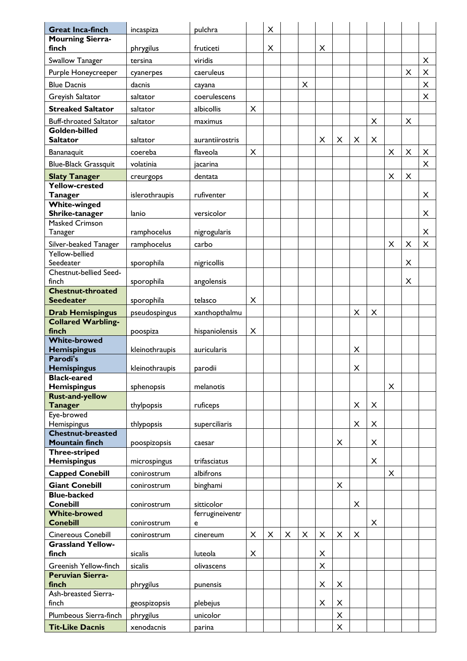| <b>Great Inca-finch</b>                           | incaspiza               | pulchra              |                | X |   |   |                |                     |                |   |                |          |                |
|---------------------------------------------------|-------------------------|----------------------|----------------|---|---|---|----------------|---------------------|----------------|---|----------------|----------|----------------|
| <b>Mourning Sierra-</b>                           |                         |                      |                |   |   |   |                |                     |                |   |                |          |                |
| finch                                             | phrygilus               | fruticeti            |                | X |   |   | X              |                     |                |   |                |          |                |
| Swallow Tanager                                   | tersina                 | viridis              |                |   |   |   |                |                     |                |   |                |          | $\pmb{\times}$ |
| Purple Honeycreeper                               | cyanerpes               | caeruleus            |                |   |   |   |                |                     |                |   |                | X        | X              |
| <b>Blue Dacnis</b>                                | dacnis                  | cayana               |                |   |   | X |                |                     |                |   |                |          | X              |
| Greyish Saltator                                  | saltator                | coerulescens         |                |   |   |   |                |                     |                |   |                |          | X              |
| <b>Streaked Saltator</b>                          | saltator                | albicollis           | $\pmb{\times}$ |   |   |   |                |                     |                |   |                |          |                |
| <b>Buff-throated Saltator</b>                     | saltator                | maximus              |                |   |   |   |                |                     |                | X |                | X        |                |
| Golden-billed                                     |                         |                      |                |   |   |   |                |                     |                |   |                |          |                |
| <b>Saltator</b>                                   | saltator                | aurantiirostris      |                |   |   |   | X              | X                   | X              | X |                |          |                |
| Bananaquit                                        | coereba                 | flaveola             | $\times$       |   |   |   |                |                     |                |   | X              | $\times$ | X              |
| <b>Blue-Black Grassquit</b>                       | volatinia               | jacarina             |                |   |   |   |                |                     |                |   |                |          | X              |
| <b>Slaty Tanager</b>                              | creurgops               | dentata              |                |   |   |   |                |                     |                |   | $\times$       | $\times$ |                |
| Yellow-crested                                    |                         |                      |                |   |   |   |                |                     |                |   |                |          |                |
| <b>Tanager</b>                                    | islerothraupis          | rufiventer           |                |   |   |   |                |                     |                |   |                |          | X              |
| <b>White-winged</b>                               |                         |                      |                |   |   |   |                |                     |                |   |                |          | X              |
| Shrike-tanager<br><b>Masked Crimson</b>           | lanio                   | versicolor           |                |   |   |   |                |                     |                |   |                |          |                |
| Tanager                                           | ramphocelus             | nigrogularis         |                |   |   |   |                |                     |                |   |                |          | X              |
| Silver-beaked Tanager                             | ramphocelus             | carbo                |                |   |   |   |                |                     |                |   | X              | X        | X              |
| Yellow-bellied                                    |                         |                      |                |   |   |   |                |                     |                |   |                |          |                |
| Seedeater                                         | sporophila              | nigricollis          |                |   |   |   |                |                     |                |   |                | X        |                |
| Chestnut-bellied Seed-                            |                         |                      |                |   |   |   |                |                     |                |   |                |          |                |
| finch<br><b>Chestnut-throated</b>                 | sporophila              | angolensis           |                |   |   |   |                |                     |                |   |                | X        |                |
| <b>Seedeater</b>                                  | sporophila              | telasco              | X              |   |   |   |                |                     |                |   |                |          |                |
| <b>Drab Hemispingus</b>                           | pseudospingus           | xanthopthalmu        |                |   |   |   |                |                     | X              | X |                |          |                |
| <b>Collared Warbling-</b>                         |                         |                      |                |   |   |   |                |                     |                |   |                |          |                |
| finch                                             | poospiza                | hispaniolensis       | $\pmb{\times}$ |   |   |   |                |                     |                |   |                |          |                |
| <b>White-browed</b><br><b>Hemispingus</b>         | kleinothraupis          | auricularis          |                |   |   |   |                |                     | $\pmb{\times}$ |   |                |          |                |
| Parodi's                                          |                         |                      |                |   |   |   |                |                     |                |   |                |          |                |
| <b>Hemispingus</b>                                | kleinothraupis          | parodii              |                |   |   |   |                |                     | X              |   |                |          |                |
| <b>Black-eared</b>                                |                         |                      |                |   |   |   |                |                     |                |   |                |          |                |
| <b>Hemispingus</b><br><b>Rust-and-yellow</b>      | sphenopsis              | melanotis            |                |   |   |   |                |                     |                |   | X              |          |                |
| <b>Tanager</b>                                    | thylpopsis              | ruficeps             |                |   |   |   |                |                     | X              | X |                |          |                |
| Eye-browed                                        |                         |                      |                |   |   |   |                |                     |                |   |                |          |                |
| Hemispingus                                       | thlypopsis              | superciliaris        |                |   |   |   |                |                     | X              | X |                |          |                |
| <b>Chestnut-breasted</b><br><b>Mountain finch</b> |                         |                      |                |   |   |   |                |                     |                |   |                |          |                |
| <b>Three-striped</b>                              | poospizopsis            | caesar               |                |   |   |   |                | X                   |                | X |                |          |                |
| <b>Hemispingus</b>                                | microspingus            | trifasciatus         |                |   |   |   |                |                     |                | X |                |          |                |
| <b>Capped Conebill</b>                            | conirostrum             | albifrons            |                |   |   |   |                |                     |                |   | $\pmb{\times}$ |          |                |
| <b>Giant Conebill</b>                             | conirostrum             | binghami             |                |   |   |   |                | X                   |                |   |                |          |                |
| <b>Blue-backed</b>                                |                         |                      |                |   |   |   |                |                     |                |   |                |          |                |
| <b>Conebill</b>                                   | conirostrum             | sitticolor           |                |   |   |   |                |                     | X              |   |                |          |                |
| <b>White-browed</b><br><b>Conebill</b>            | conirostrum             | ferrugineiventr<br>e |                |   |   |   |                |                     |                | X |                |          |                |
| Cinereous Conebill                                |                         |                      | $\pmb{\times}$ |   | X |   | $\pmb{\times}$ |                     | $\times$       |   |                |          |                |
| <b>Grassland Yellow-</b>                          | conirostrum             | cinereum             |                | X |   | X |                | X                   |                |   |                |          |                |
|                                                   |                         |                      | $\pmb{\times}$ |   |   |   | X              |                     |                |   |                |          |                |
| finch                                             | sicalis                 | luteola              |                |   |   |   |                |                     |                |   |                |          |                |
| Greenish Yellow-finch                             | sicalis                 | olivascens           |                |   |   |   | X              |                     |                |   |                |          |                |
| <b>Peruvian Sierra-</b>                           |                         |                      |                |   |   |   |                |                     |                |   |                |          |                |
| finch                                             | phrygilus               | punensis             |                |   |   |   | X              | X                   |                |   |                |          |                |
| Ash-breasted Sierra-                              |                         |                      |                |   |   |   |                |                     |                |   |                |          |                |
| finch                                             | geospizopsis            | plebejus             |                |   |   |   | X              | X                   |                |   |                |          |                |
| Plumbeous Sierra-finch<br><b>Tit-Like Dacnis</b>  | phrygilus<br>xenodacnis | unicolor<br>parina   |                |   |   |   |                | $\pmb{\times}$<br>X |                |   |                |          |                |